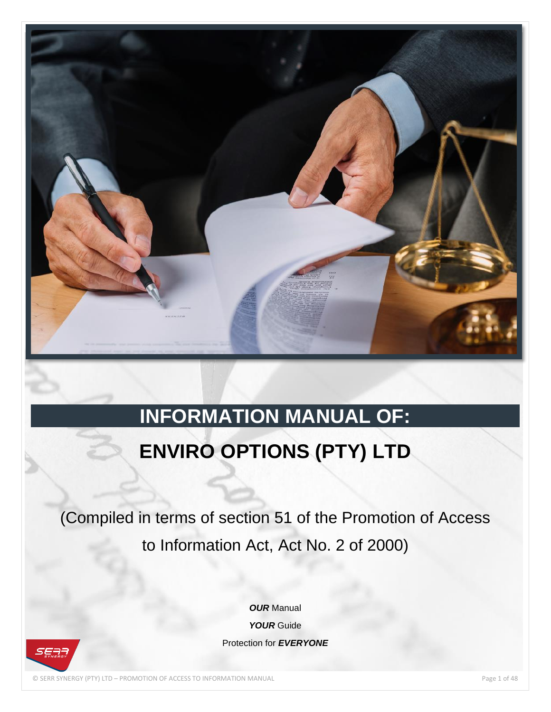

# **INFORMATION MANUAL OF:**

# **ENVIRO OPTIONS (PTY) LTD**

(Compiled in terms of section 51 of the Promotion of Access to Information Act, Act No. 2 of 2000)

> *OUR* Manual *YOUR* Guide Protection for *EVERYONE*

© SERR SYNERGY (PTY) LTD – PROMOTION OF ACCESS TO INFORMATION MANUAL Page 1 of 48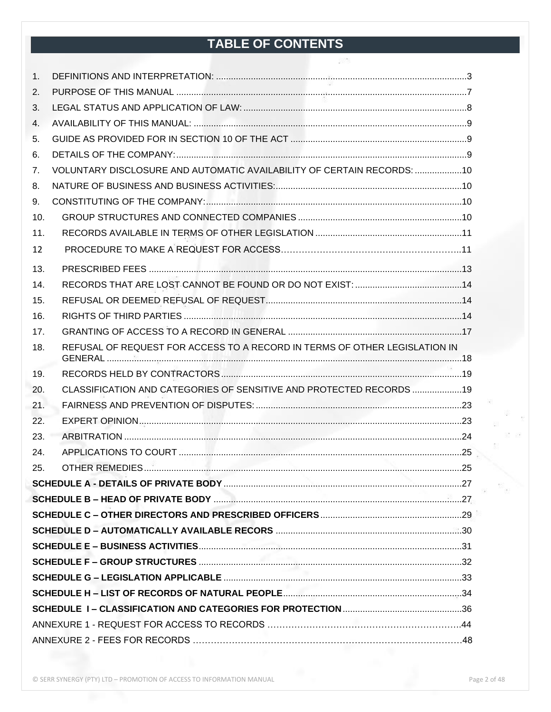## TABLE OF CONTENTS

| 1.  |                                                                            |  |
|-----|----------------------------------------------------------------------------|--|
| 2.  |                                                                            |  |
| 3.  |                                                                            |  |
| 4.  |                                                                            |  |
| 5.  |                                                                            |  |
| 6.  |                                                                            |  |
| 7.  | VOLUNTARY DISCLOSURE AND AUTOMATIC AVAILABILITY OF CERTAIN RECORDS:  10    |  |
| 8.  |                                                                            |  |
| 9.  |                                                                            |  |
| 10. |                                                                            |  |
| 11. |                                                                            |  |
| 12  |                                                                            |  |
| 13. |                                                                            |  |
| 14. |                                                                            |  |
| 15. |                                                                            |  |
| 16. |                                                                            |  |
| 17. |                                                                            |  |
| 18. | REFUSAL OF REQUEST FOR ACCESS TO A RECORD IN TERMS OF OTHER LEGISLATION IN |  |
| 19. |                                                                            |  |
| 20. | CLASSIFICATION AND CATEGORIES OF SENSITIVE AND PROTECTED RECORDS  19       |  |
| 21. |                                                                            |  |
| 22. |                                                                            |  |
| 23. |                                                                            |  |
| 24. |                                                                            |  |
| 25. |                                                                            |  |
|     |                                                                            |  |
|     |                                                                            |  |
|     |                                                                            |  |
|     |                                                                            |  |
|     |                                                                            |  |
|     |                                                                            |  |
|     |                                                                            |  |
|     |                                                                            |  |
|     |                                                                            |  |
|     |                                                                            |  |
|     |                                                                            |  |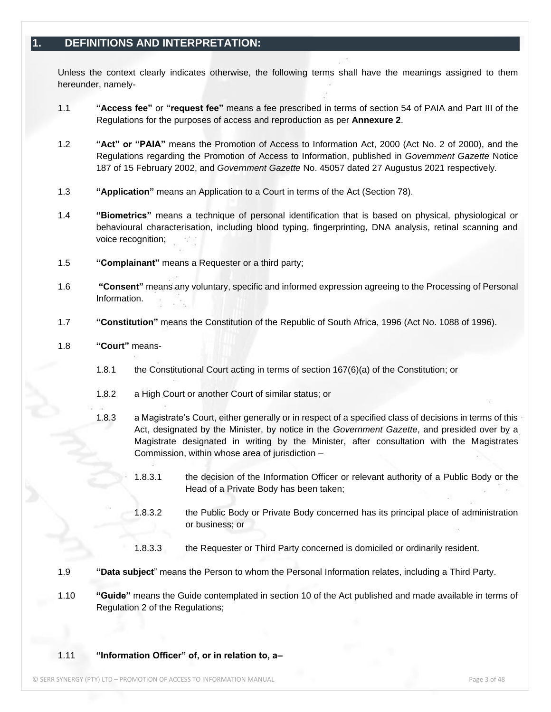## <span id="page-2-0"></span>**1. DEFINITIONS AND INTERPRETATION:**

Unless the context clearly indicates otherwise, the following terms shall have the meanings assigned to them hereunder, namely-

- 1.1 **"Access fee"** or **"request fee"** means a fee prescribed in terms of section 54 of PAIA and Part III of the Regulations for the purposes of access and reproduction as per **Annexure 2**.
- 1.2 **"Act" or "PAIA"** means the Promotion of Access to Information Act, 2000 (Act No. 2 of 2000), and the Regulations regarding the Promotion of Access to Information, published in *Government Gazette* Notice 187 of 15 February 2002, and *Government Gazette* No. 45057 dated 27 Augustus 2021 respectively*.*
- 1.3 **"Application"** means an Application to a Court in terms of the Act (Section 78).
- 1.4 **"Biometrics"** means a technique of personal identification that is based on physical, physiological or behavioural characterisation, including blood typing, fingerprinting, DNA analysis, retinal scanning and voice recognition;
- 1.5 **"Complainant"** means a Requester or a third party;
- 1.6 **"Consent"** means any voluntary, specific and informed expression agreeing to the Processing of Personal Information.
- 1.7 **"Constitution"** means the Constitution of the Republic of South Africa, 1996 (Act No. 1088 of 1996).
- 1.8 **"Court"** means-
	- 1.8.1 the Constitutional Court acting in terms of section 167(6)(a) of the Constitution; or
	- 1.8.2 a High Court or another Court of similar status; or
	- 1.8.3 a Magistrate's Court, either generally or in respect of a specified class of decisions in terms of this Act, designated by the Minister, by notice in the *Government Gazette*, and presided over by a Magistrate designated in writing by the Minister, after consultation with the Magistrates Commission, within whose area of jurisdiction –
		- 1.8.3.1 the decision of the Information Officer or relevant authority of a Public Body or the Head of a Private Body has been taken;
		- 1.8.3.2 the Public Body or Private Body concerned has its principal place of administration or business; or
		- 1.8.3.3 the Requester or Third Party concerned is domiciled or ordinarily resident.
- 1.9 **"Data subject**" means the Person to whom the Personal Information relates, including a Third Party.
- 1.10 **"Guide"** means the Guide contemplated in section 10 of the Act published and made available in terms of Regulation 2 of the Regulations;

#### 1.11 **"Information Officer" of, or in relation to, a–**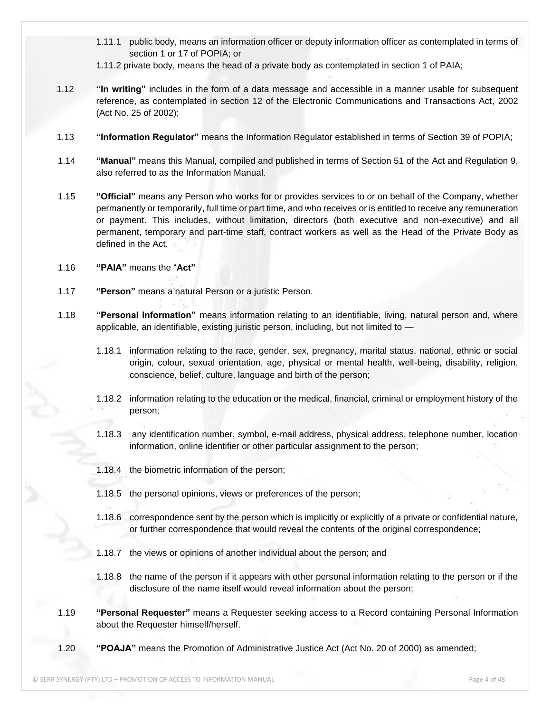- 1.11.1 public body, means an information officer or deputy information officer as contemplated in terms of section 1 or 17 of POPIA; or
- 1.11.2 private body, means the head of a private body as contemplated in section 1 of PAIA;
- 1.12 **"In writing"** includes in the form of a data message and accessible in a manner usable for subsequent reference, as contemplated in section 12 of the Electronic Communications and Transactions Act, 2002 (Act No. 25 of 2002);
- 1.13 **"Information Regulator"** means the Information Regulator established in terms of Section 39 of POPIA;
- 1.14 **"Manual"** means this Manual, compiled and published in terms of Section 51 of the Act and Regulation 9, also referred to as the Information Manual.
- 1.15 **"Official"** means any Person who works for or provides services to or on behalf of the Company, whether permanently or temporarily, full time or part time, and who receives or is entitled to receive any remuneration or payment. This includes, without limitation, directors (both executive and non-executive) and all permanent, temporary and part-time staff, contract workers as well as the Head of the Private Body as defined in the Act.
- 1.16 **"PAIA"** means the "**Act"**
- 1.17 **"Person"** means a natural Person or a juristic Person.
- 1.18 **"Personal information"** means information relating to an identifiable, living, natural person and, where applicable, an identifiable, existing juristic person, including, but not limited to —
	- 1.18.1 information relating to the race, gender, sex, pregnancy, marital status, national, ethnic or social origin, colour, sexual orientation, age, physical or mental health, well-being, disability, religion, conscience, belief, culture, language and birth of the person;
	- 1.18.2 information relating to the education or the medical, financial, criminal or employment history of the person;
	- 1.18.3 any identification number, symbol, e-mail address, physical address, telephone number, location information, online identifier or other particular assignment to the person;
	- 1.18.4 the biometric information of the person;
	- 1.18.5 the personal opinions, views or preferences of the person;
	- 1.18.6 correspondence sent by the person which is implicitly or explicitly of a private or confidential nature, or further correspondence that would reveal the contents of the original correspondence;
	- 1.18.7 the views or opinions of another individual about the person; and
	- 1.18.8 the name of the person if it appears with other personal information relating to the person or if the disclosure of the name itself would reveal information about the person;
- 1.19 **"Personal Requester"** means a Requester seeking access to a Record containing Personal Information about the Requester himself/herself.
- 1.20 **"POAJA"** means the Promotion of Administrative Justice Act (Act No. 20 of 2000) as amended;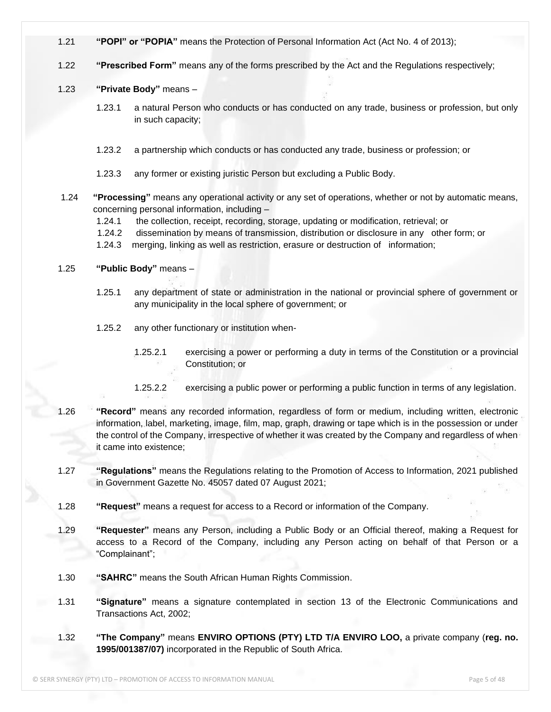- 1.21 **"POPI" or "POPIA"** means the Protection of Personal Information Act (Act No. 4 of 2013);
- 1.22 **"Prescribed Form"** means any of the forms prescribed by the Act and the Regulations respectively;

#### 1.23 **"Private Body"** means –

- 1.23.1 a natural Person who conducts or has conducted on any trade, business or profession, but only in such capacity;
- 1.23.2 a partnership which conducts or has conducted any trade, business or profession; or
- 1.23.3 any former or existing juristic Person but excluding a Public Body.
- 1.24 **"Processing"** means any operational activity or any set of operations, whether or not by automatic means, concerning personal information, including –
	- 1.24.1 the collection, receipt, recording, storage, updating or modification, retrieval; or
	- 1.24.2 dissemination by means of transmission, distribution or disclosure in any other form; or
	- 1.24.3 merging, linking as well as restriction, erasure or destruction of information;

#### 1.25 **"Public Body"** means –

- 1.25.1 any department of state or administration in the national or provincial sphere of government or any municipality in the local sphere of government; or
- 1.25.2 any other functionary or institution when-
	- 1.25.2.1 exercising a power or performing a duty in terms of the Constitution or a provincial Constitution; or
	- 1.25.2.2 exercising a public power or performing a public function in terms of any legislation.
- 1.26 **"Record"** means any recorded information, regardless of form or medium, including written, electronic information, label, marketing, image, film, map, graph, drawing or tape which is in the possession or under the control of the Company, irrespective of whether it was created by the Company and regardless of when it came into existence;
- 1.27 **"Regulations"** means the Regulations relating to the Promotion of Access to Information, 2021 published in Government Gazette No. 45057 dated 07 August 2021;
- 1.28 **"Request"** means a request for access to a Record or information of the Company.
- 1.29 **"Requester"** means any Person, including a Public Body or an Official thereof, making a Request for access to a Record of the Company, including any Person acting on behalf of that Person or a "Complainant";
- 1.30 **"SAHRC"** means the South African Human Rights Commission.
- 1.31 **"Signature"** means a signature contemplated in section 13 of the Electronic Communications and Transactions Act, 2002;
- 1.32 **"The Company"** means **ENVIRO OPTIONS (PTY) LTD T/A ENVIRO LOO,** a private company (**reg. no. 1995/001387/07)** incorporated in the Republic of South Africa.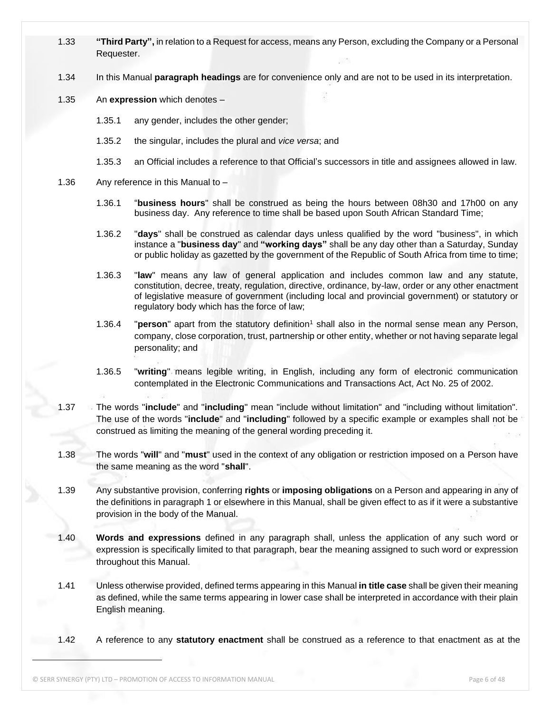- 1.33 **"Third Party",** in relation to a Request for access, means any Person, excluding the Company or a Personal Requester.
- 1.34 In this Manual **paragraph headings** are for convenience only and are not to be used in its interpretation.
- 1.35 An **expression** which denotes
	- 1.35.1 any gender, includes the other gender;
	- 1.35.2 the singular, includes the plural and *vice versa*; and
	- 1.35.3 an Official includes a reference to that Official's successors in title and assignees allowed in law.
- 1.36 Any reference in this Manual to
	- 1.36.1 "**business hours**" shall be construed as being the hours between 08h30 and 17h00 on any business day. Any reference to time shall be based upon South African Standard Time;
	- 1.36.2 "**days**" shall be construed as calendar days unless qualified by the word "business", in which instance a "**business day**" and **"working days"** shall be any day other than a Saturday, Sunday or public holiday as gazetted by the government of the Republic of South Africa from time to time;
	- 1.36.3 "**law**" means any law of general application and includes common law and any statute, constitution, decree, treaty, regulation, directive, ordinance, by-law, order or any other enactment of legislative measure of government (including local and provincial government) or statutory or regulatory body which has the force of law;
	- 1.36.4 **"person"** apart from the statutory definition<sup>1</sup> shall also in the normal sense mean any Person, company, close corporation, trust, partnership or other entity, whether or not having separate legal personality; and
	- 1.36.5 "**writing**" means legible writing, in English, including any form of electronic communication contemplated in the Electronic Communications and Transactions Act, Act No. 25 of 2002.
- 1.37 The words "**include**" and "**including**" mean "include without limitation" and "including without limitation". The use of the words "**include**" and "**including**" followed by a specific example or examples shall not be construed as limiting the meaning of the general wording preceding it.
- 1.38 The words "**will**" and "**must**" used in the context of any obligation or restriction imposed on a Person have the same meaning as the word "**shall**".
- 1.39 Any substantive provision, conferring **rights** or **imposing obligations** on a Person and appearing in any of the definitions in paragraph 1 or elsewhere in this Manual, shall be given effect to as if it were a substantive provision in the body of the Manual.
- 1.40 **Words and expressions** defined in any paragraph shall, unless the application of any such word or expression is specifically limited to that paragraph, bear the meaning assigned to such word or expression throughout this Manual.
- 1.41 Unless otherwise provided, defined terms appearing in this Manual **in title case** shall be given their meaning as defined, while the same terms appearing in lower case shall be interpreted in accordance with their plain English meaning.
- 1.42 A reference to any **statutory enactment** shall be construed as a reference to that enactment as at the

© SERR SYNERGY (PTY) LTD – PROMOTION OF ACCESS TO INFORMATION MANUAL Page 6 of 48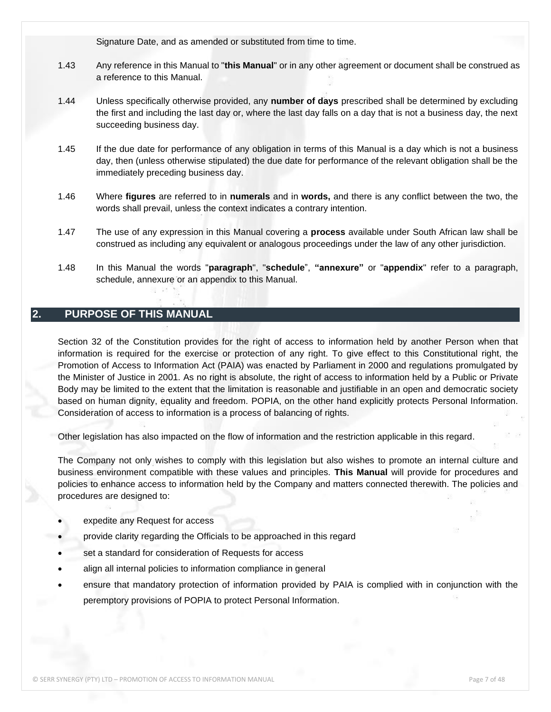Signature Date, and as amended or substituted from time to time.

- 1.43 Any reference in this Manual to "**this Manual**" or in any other agreement or document shall be construed as a reference to this Manual.
- 1.44 Unless specifically otherwise provided, any **number of days** prescribed shall be determined by excluding the first and including the last day or, where the last day falls on a day that is not a business day, the next succeeding business day.
- 1.45 If the due date for performance of any obligation in terms of this Manual is a day which is not a business day, then (unless otherwise stipulated) the due date for performance of the relevant obligation shall be the immediately preceding business day.
- 1.46 Where **figures** are referred to in **numerals** and in **words,** and there is any conflict between the two, the words shall prevail, unless the context indicates a contrary intention.
- 1.47 The use of any expression in this Manual covering a **process** available under South African law shall be construed as including any equivalent or analogous proceedings under the law of any other jurisdiction.
- 1.48 In this Manual the words "**paragraph**", "**schedule**", **"annexure"** or "**appendix**" refer to a paragraph, schedule, annexure or an appendix to this Manual.

## <span id="page-6-0"></span>**2. PURPOSE OF THIS MANUAL**

Section 32 of the Constitution provides for the right of access to information held by another Person when that information is required for the exercise or protection of any right. To give effect to this Constitutional right, the Promotion of Access to Information Act (PAIA) was enacted by Parliament in 2000 and regulations promulgated by the Minister of Justice in 2001. As no right is absolute, the right of access to information held by a Public or Private Body may be limited to the extent that the limitation is reasonable and justifiable in an open and democratic society based on human dignity, equality and freedom. POPIA, on the other hand explicitly protects Personal Information. Consideration of access to information is a process of balancing of rights.

Other legislation has also impacted on the flow of information and the restriction applicable in this regard.

The Company not only wishes to comply with this legislation but also wishes to promote an internal culture and business environment compatible with these values and principles. **This Manual** will provide for procedures and policies to enhance access to information held by the Company and matters connected therewith. The policies and procedures are designed to:

- expedite any Request for access
- provide clarity regarding the Officials to be approached in this regard
- set a standard for consideration of Requests for access
- align all internal policies to information compliance in general
- ensure that mandatory protection of information provided by PAIA is complied with in conjunction with the peremptory provisions of POPIA to protect Personal Information.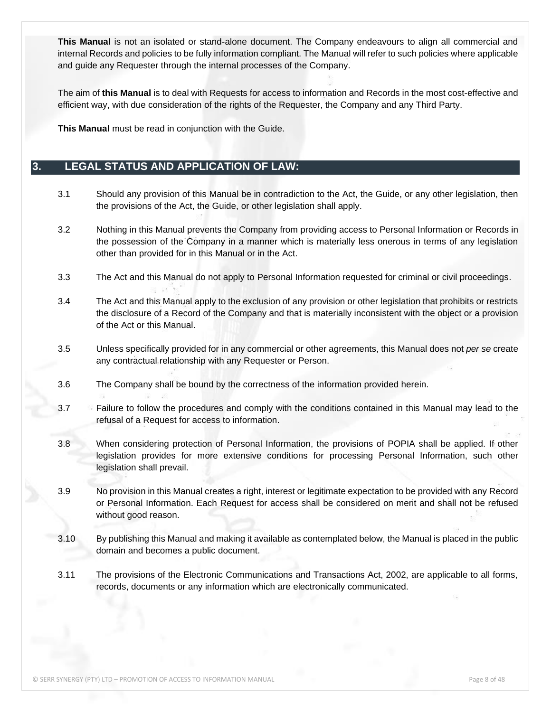**This Manual** is not an isolated or stand-alone document. The Company endeavours to align all commercial and internal Records and policies to be fully information compliant. The Manual will refer to such policies where applicable and guide any Requester through the internal processes of the Company.

The aim of **this Manual** is to deal with Requests for access to information and Records in the most cost-effective and efficient way, with due consideration of the rights of the Requester, the Company and any Third Party.

**This Manual** must be read in conjunction with the Guide.

## <span id="page-7-0"></span>**3. LEGAL STATUS AND APPLICATION OF LAW:**

- 3.1 Should any provision of this Manual be in contradiction to the Act, the Guide, or any other legislation, then the provisions of the Act, the Guide, or other legislation shall apply.
- 3.2 Nothing in this Manual prevents the Company from providing access to Personal Information or Records in the possession of the Company in a manner which is materially less onerous in terms of any legislation other than provided for in this Manual or in the Act.
- 3.3 The Act and this Manual do not apply to Personal Information requested for criminal or civil proceedings.
- 3.4 The Act and this Manual apply to the exclusion of any provision or other legislation that prohibits or restricts the disclosure of a Record of the Company and that is materially inconsistent with the object or a provision of the Act or this Manual.
- 3.5 Unless specifically provided for in any commercial or other agreements, this Manual does not *per se* create any contractual relationship with any Requester or Person.
- 3.6 The Company shall be bound by the correctness of the information provided herein.
- 3.7 Failure to follow the procedures and comply with the conditions contained in this Manual may lead to the refusal of a Request for access to information.
- 3.8 When considering protection of Personal Information, the provisions of POPIA shall be applied. If other legislation provides for more extensive conditions for processing Personal Information, such other legislation shall prevail.
- 3.9 No provision in this Manual creates a right, interest or legitimate expectation to be provided with any Record or Personal Information. Each Request for access shall be considered on merit and shall not be refused without good reason.
- 3.10 By publishing this Manual and making it available as contemplated below, the Manual is placed in the public domain and becomes a public document.
- 3.11 The provisions of the Electronic Communications and Transactions Act, 2002, are applicable to all forms, records, documents or any information which are electronically communicated.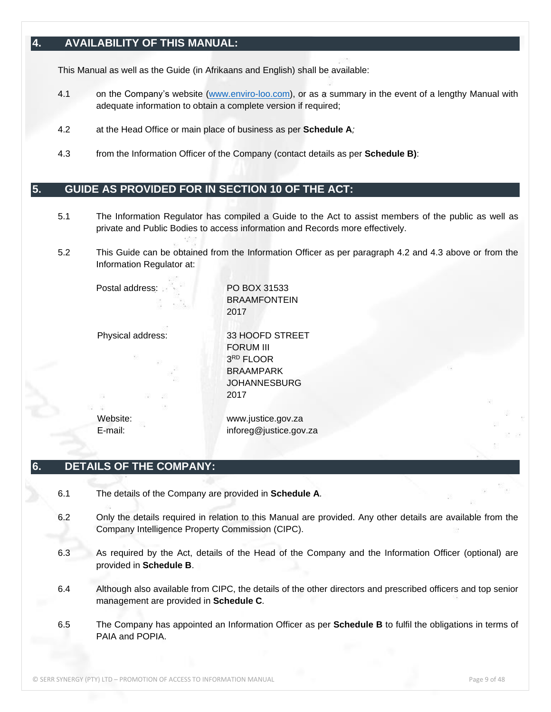## <span id="page-8-0"></span>**4. AVAILABILITY OF THIS MANUAL:**

This Manual as well as the Guide (in Afrikaans and English) shall be available:

- 4.1 on the Company's website [\(www.enviro-loo.com\)](http://www.enviro-loo.com/), or as a summary in the event of a lengthy Manual with adequate information to obtain a complete version if required;
- 4.2 at the Head Office or main place of business as per **Schedule A***;*
- 4.3 from the Information Officer of the Company (contact details as per **Schedule B)**:

## <span id="page-8-1"></span>**5. GUIDE AS PROVIDED FOR IN SECTION 10 OF THE ACT:**

- 5.1 The Information Regulator has compiled a Guide to the Act to assist members of the public as well as private and Public Bodies to access information and Records more effectively.
- 5.2 This Guide can be obtained from the Information Officer as per paragraph 4.2 and 4.3 above or from the Information Regulator at:

Postal address: PO BOX 31533

**BRAAMFONTFIN** 2017

Physical address: 33 HOOFD STREET FORUM III 3 RD FLOOR BRAAMPARK **JOHANNESBURG** 2017

Website: www.justice.gov.za E-mail: inforeg@justice.gov.za

### <span id="page-8-2"></span>**6. DETAILS OF THE COMPANY:**

- 6.1 The details of the Company are provided in **Schedule A***.*
- 6.2 Only the details required in relation to this Manual are provided. Any other details are available from the Company Intelligence Property Commission (CIPC).
- 6.3 As required by the Act, details of the Head of the Company and the Information Officer (optional) are provided in **Schedule B**.
- 6.4 Although also available from CIPC, the details of the other directors and prescribed officers and top senior management are provided in **Schedule C***.*
- 6.5 The Company has appointed an Information Officer as per **Schedule B** to fulfil the obligations in terms of PAIA and POPIA.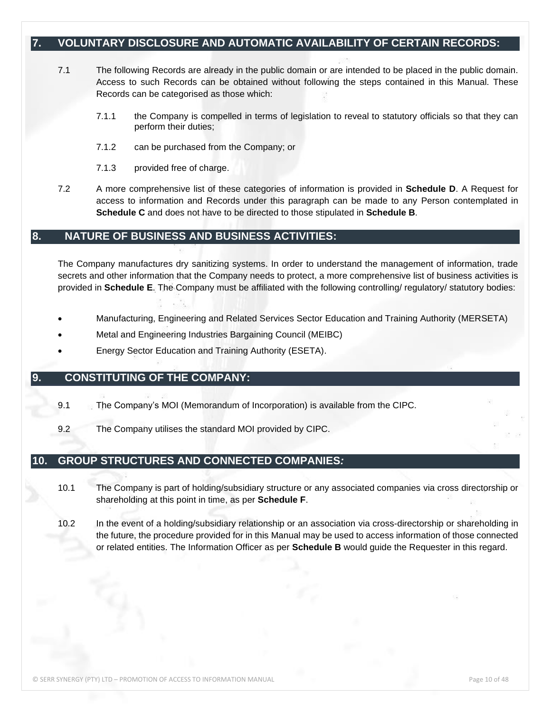## <span id="page-9-0"></span>**7. VOLUNTARY DISCLOSURE AND AUTOMATIC AVAILABILITY OF CERTAIN RECORDS:**

- 7.1 The following Records are already in the public domain or are intended to be placed in the public domain. Access to such Records can be obtained without following the steps contained in this Manual. These Records can be categorised as those which:
	- 7.1.1 the Company is compelled in terms of legislation to reveal to statutory officials so that they can perform their duties;
	- 7.1.2 can be purchased from the Company; or
	- 7.1.3 provided free of charge.
- 7.2 A more comprehensive list of these categories of information is provided in **Schedule D**. A Request for access to information and Records under this paragraph can be made to any Person contemplated in **Schedule C** and does not have to be directed to those stipulated in **Schedule B**.

#### <span id="page-9-1"></span>**8. NATURE OF BUSINESS AND BUSINESS ACTIVITIES:**

The Company manufactures dry sanitizing systems. In order to understand the management of information, trade secrets and other information that the Company needs to protect, a more comprehensive list of business activities is provided in **Schedule E**. The Company must be affiliated with the following controlling/ regulatory/ statutory bodies:

- Manufacturing, Engineering and Related Services Sector Education and Training Authority (MERSETA)
- Metal and Engineering Industries Bargaining Council (MEIBC)
- Energy Sector Education and Training Authority (ESETA).

#### <span id="page-9-2"></span>**9. CONSTITUTING OF THE COMPANY:**

- 9.1 The Company's MOI (Memorandum of Incorporation) is available from the CIPC.
- 9.2 The Company utilises the standard MOI provided by CIPC.

#### <span id="page-9-3"></span>**10. GROUP STRUCTURES AND CONNECTED COMPANIES***:*

- 10.1 The Company is part of holding/subsidiary structure or any associated companies via cross directorship or shareholding at this point in time, as per **Schedule F**.
- 10.2 In the event of a holding/subsidiary relationship or an association via cross-directorship or shareholding in the future, the procedure provided for in this Manual may be used to access information of those connected or related entities. The Information Officer as per **Schedule B** would guide the Requester in this regard.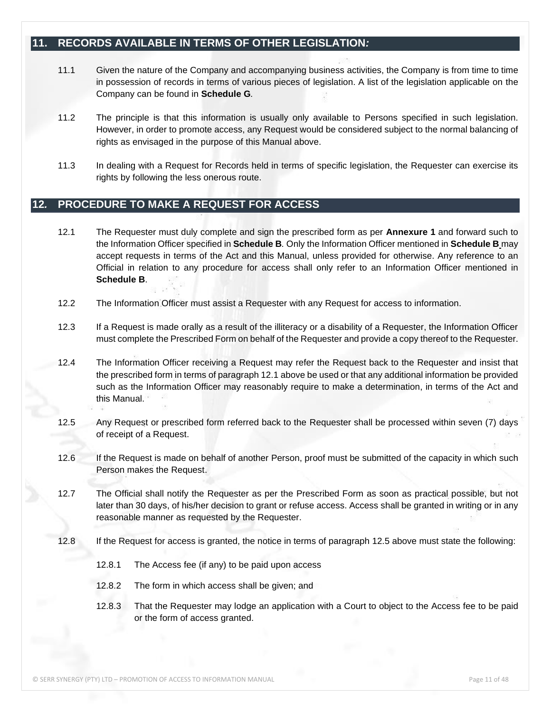## <span id="page-10-0"></span>**11. RECORDS AVAILABLE IN TERMS OF OTHER LEGISLATION***:*

- 11.1 Given the nature of the Company and accompanying business activities, the Company is from time to time in possession of records in terms of various pieces of legislation. A list of the legislation applicable on the Company can be found in **Schedule G***.*
- 11.2 The principle is that this information is usually only available to Persons specified in such legislation. However, in order to promote access, any Request would be considered subject to the normal balancing of rights as envisaged in the purpose of this Manual above.
- 11.3 In dealing with a Request for Records held in terms of specific legislation, the Requester can exercise its rights by following the less onerous route.

## **12***.* **PROCEDURE TO MAKE A REQUEST FOR ACCESS**

- 12.1 The Requester must duly complete and sign the prescribed form as per **Annexure 1** and forward such to the Information Officer specified in **Schedule B***.* Only the Information Officer mentioned in **Schedule B** may accept requests in terms of the Act and this Manual, unless provided for otherwise. Any reference to an Official in relation to any procedure for access shall only refer to an Information Officer mentioned in **Schedule B**.
- 12.2 The Information Officer must assist a Requester with any Request for access to information.
- 12.3 If a Request is made orally as a result of the illiteracy or a disability of a Requester, the Information Officer must complete the Prescribed Form on behalf of the Requester and provide a copy thereof to the Requester.
- 12.4 The Information Officer receiving a Request may refer the Request back to the Requester and insist that the prescribed form in terms of paragraph 12.1 above be used or that any additional information be provided such as the Information Officer may reasonably require to make a determination, in terms of the Act and this Manual.
- 12.5 Any Request or prescribed form referred back to the Requester shall be processed within seven (7) days of receipt of a Request.
- 12.6 If the Request is made on behalf of another Person, proof must be submitted of the capacity in which such Person makes the Request.
- 12.7 The Official shall notify the Requester as per the Prescribed Form as soon as practical possible, but not later than 30 days, of his/her decision to grant or refuse access. Access shall be granted in writing or in any reasonable manner as requested by the Requester.
- 12.8 If the Request for access is granted, the notice in terms of paragraph 12.5 above must state the following:
	- 12.8.1 The Access fee (if any) to be paid upon access
	- 12.8.2 The form in which access shall be given; and
	- 12.8.3 That the Requester may lodge an application with a Court to object to the Access fee to be paid or the form of access granted.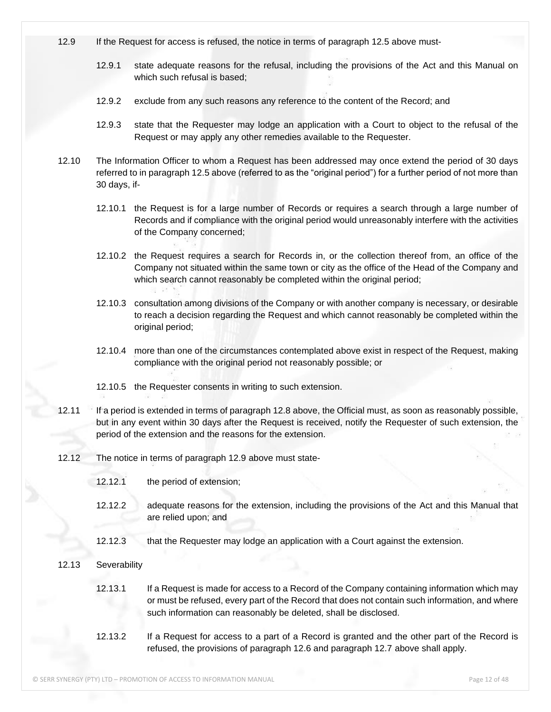- 12.9 If the Request for access is refused, the notice in terms of paragraph 12.5 above must-
	- 12.9.1 state adequate reasons for the refusal, including the provisions of the Act and this Manual on which such refusal is based;
	- 12.9.2 exclude from any such reasons any reference to the content of the Record; and
	- 12.9.3 state that the Requester may lodge an application with a Court to object to the refusal of the Request or may apply any other remedies available to the Requester.
- 12.10 The Information Officer to whom a Request has been addressed may once extend the period of 30 days referred to in paragraph 12.5 above (referred to as the "original period") for a further period of not more than 30 days, if-
	- 12.10.1 the Request is for a large number of Records or requires a search through a large number of Records and if compliance with the original period would unreasonably interfere with the activities of the Company concerned;
	- 12.10.2 the Request requires a search for Records in, or the collection thereof from, an office of the Company not situated within the same town or city as the office of the Head of the Company and which search cannot reasonably be completed within the original period;
	- 12.10.3 consultation among divisions of the Company or with another company is necessary, or desirable to reach a decision regarding the Request and which cannot reasonably be completed within the original period;
	- 12.10.4 more than one of the circumstances contemplated above exist in respect of the Request, making compliance with the original period not reasonably possible; or
	- 12.10.5 the Requester consents in writing to such extension.
- 12.11 If a period is extended in terms of paragraph 12.8 above, the Official must, as soon as reasonably possible, but in any event within 30 days after the Request is received, notify the Requester of such extension, the period of the extension and the reasons for the extension.
- 12.12 The notice in terms of paragraph 12.9 above must state-
	- 12.12.1 the period of extension;
	- 12.12.2 adequate reasons for the extension, including the provisions of the Act and this Manual that are relied upon; and
	- 12.12.3 that the Requester may lodge an application with a Court against the extension.
- 12.13 Severability
	- 12.13.1 If a Request is made for access to a Record of the Company containing information which may or must be refused, every part of the Record that does not contain such information, and where such information can reasonably be deleted, shall be disclosed.
	- 12.13.2 If a Request for access to a part of a Record is granted and the other part of the Record is refused, the provisions of paragraph 12.6 and paragraph 12.7 above shall apply.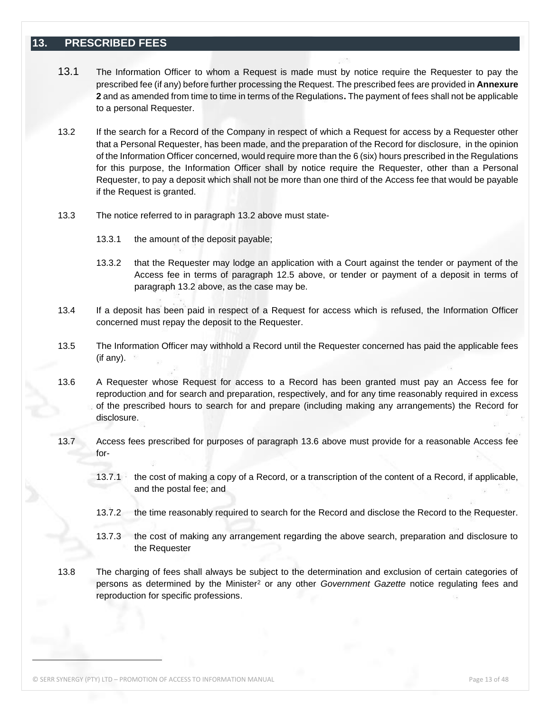## <span id="page-12-0"></span>**13. PRESCRIBED FEES**

- 13.1 The Information Officer to whom a Request is made must by notice require the Requester to pay the prescribed fee (if any) before further processing the Request. The prescribed fees are provided in **Annexure 2** and as amended from time to time in terms of the Regulations**.** The payment of fees shall not be applicable to a personal Requester.
- 13.2 If the search for a Record of the Company in respect of which a Request for access by a Requester other that a Personal Requester, has been made, and the preparation of the Record for disclosure, in the opinion of the Information Officer concerned, would require more than the 6 (six) hours prescribed in the Regulations for this purpose, the Information Officer shall by notice require the Requester, other than a Personal Requester, to pay a deposit which shall not be more than one third of the Access fee that would be payable if the Request is granted.
- 13.3 The notice referred to in paragraph 13.2 above must state-
	- 13.3.1 the amount of the deposit payable;
	- 13.3.2 that the Requester may lodge an application with a Court against the tender or payment of the Access fee in terms of paragraph 12.5 above, or tender or payment of a deposit in terms of paragraph 13.2 above, as the case may be.
- 13.4 If a deposit has been paid in respect of a Request for access which is refused, the Information Officer concerned must repay the deposit to the Requester.
- 13.5 The Information Officer may withhold a Record until the Requester concerned has paid the applicable fees (if any).
- 13.6 A Requester whose Request for access to a Record has been granted must pay an Access fee for reproduction and for search and preparation, respectively, and for any time reasonably required in excess of the prescribed hours to search for and prepare (including making any arrangements) the Record for disclosure.
- 13.7 Access fees prescribed for purposes of paragraph 13.6 above must provide for a reasonable Access fee for-
	- 13.7.1 the cost of making a copy of a Record, or a transcription of the content of a Record, if applicable, and the postal fee; and
	- 13.7.2 the time reasonably required to search for the Record and disclose the Record to the Requester.
	- 13.7.3 the cost of making any arrangement regarding the above search, preparation and disclosure to the Requester
- 13.8 The charging of fees shall always be subject to the determination and exclusion of certain categories of persons as determined by the Minister<sup>2</sup> or any other *Government Gazette* notice regulating fees and reproduction for specific professions.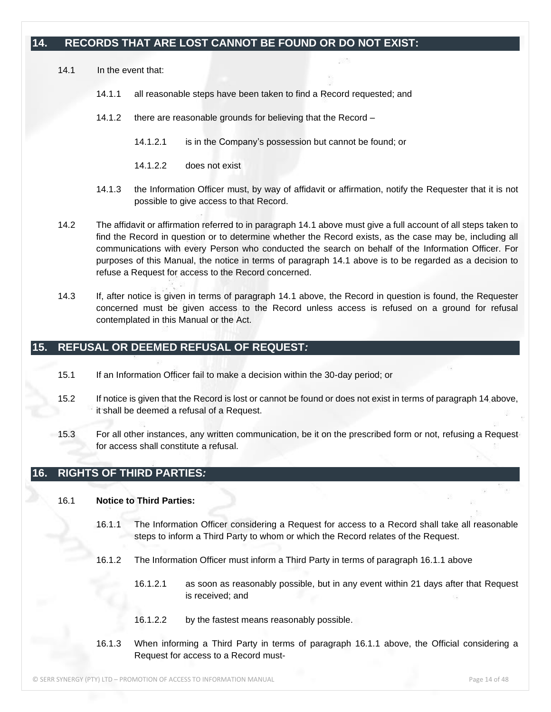## <span id="page-13-0"></span>**14. RECORDS THAT ARE LOST CANNOT BE FOUND OR DO NOT EXIST:**

14.1 In the event that:

- 14.1.1 all reasonable steps have been taken to find a Record requested; and
- 14.1.2 there are reasonable grounds for believing that the Record
	- 14.1.2.1 is in the Company's possession but cannot be found; or
	- 14.1.2.2 does not exist
- 14.1.3 the Information Officer must, by way of affidavit or affirmation, notify the Requester that it is not possible to give access to that Record.
- 14.2 The affidavit or affirmation referred to in paragraph 14.1 above must give a full account of all steps taken to find the Record in question or to determine whether the Record exists, as the case may be, including all communications with every Person who conducted the search on behalf of the Information Officer. For purposes of this Manual, the notice in terms of paragraph 14.1 above is to be regarded as a decision to refuse a Request for access to the Record concerned.
- 14.3 If, after notice is given in terms of paragraph 14.1 above, the Record in question is found, the Requester concerned must be given access to the Record unless access is refused on a ground for refusal contemplated in this Manual or the Act.

## <span id="page-13-1"></span>**15. REFUSAL OR DEEMED REFUSAL OF REQUEST***:*

- 15.1 If an Information Officer fail to make a decision within the 30-day period; or
- 15.2 If notice is given that the Record is lost or cannot be found or does not exist in terms of paragraph 14 above, it shall be deemed a refusal of a Request.
- 15.3 For all other instances, any written communication, be it on the prescribed form or not, refusing a Request for access shall constitute a refusal.

## <span id="page-13-2"></span>**16. RIGHTS OF THIRD PARTIES***:*

#### 16.1 **Notice to Third Parties:**

- 16.1.1 The Information Officer considering a Request for access to a Record shall take all reasonable steps to inform a Third Party to whom or which the Record relates of the Request.
- 16.1.2 The Information Officer must inform a Third Party in terms of paragraph 16.1.1 above
	- 16.1.2.1 as soon as reasonably possible, but in any event within 21 days after that Request is received; and
	- 16.1.2.2 by the fastest means reasonably possible.
- 16.1.3 When informing a Third Party in terms of paragraph 16.1.1 above, the Official considering a Request for access to a Record must-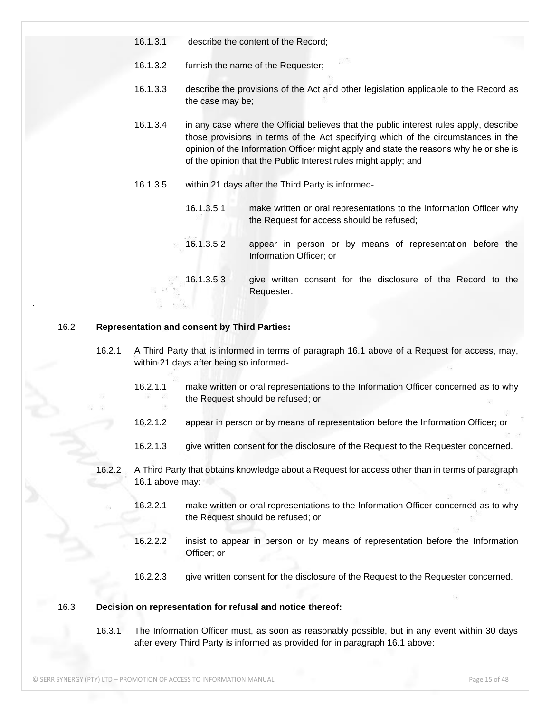- 16.1.3.1 describe the content of the Record;
- 16.1.3.2 furnish the name of the Requester;
- 16.1.3.3 describe the provisions of the Act and other legislation applicable to the Record as the case may be;
- 16.1.3.4 in any case where the Official believes that the public interest rules apply, describe those provisions in terms of the Act specifying which of the circumstances in the opinion of the Information Officer might apply and state the reasons why he or she is of the opinion that the Public Interest rules might apply; and
- 16.1.3.5 within 21 days after the Third Party is informed-
	- 16.1.3.5.1 make written or oral representations to the Information Officer why the Request for access should be refused;
	- 16.1.3.5.2 appear in person or by means of representation before the Information Officer; or
	- 16.1.3.5.3 give written consent for the disclosure of the Record to the Requester.

#### 16.2 **Representation and consent by Third Parties:**

.

- 16.2.1 A Third Party that is informed in terms of paragraph 16.1 above of a Request for access, may, within 21 days after being so informed-
	- 16.2.1.1 make written or oral representations to the Information Officer concerned as to why the Request should be refused; or
	- 16.2.1.2 appear in person or by means of representation before the Information Officer; or
	- 16.2.1.3 give written consent for the disclosure of the Request to the Requester concerned.
- 16.2.2 A Third Party that obtains knowledge about a Request for access other than in terms of paragraph 16.1 above may:
	- 16.2.2.1 make written or oral representations to the Information Officer concerned as to why the Request should be refused; or
	- 16.2.2.2 insist to appear in person or by means of representation before the Information Officer; or
	- 16.2.2.3 give written consent for the disclosure of the Request to the Requester concerned.

#### 16.3 **Decision on representation for refusal and notice thereof:**

16.3.1 The Information Officer must, as soon as reasonably possible, but in any event within 30 days after every Third Party is informed as provided for in paragraph 16.1 above: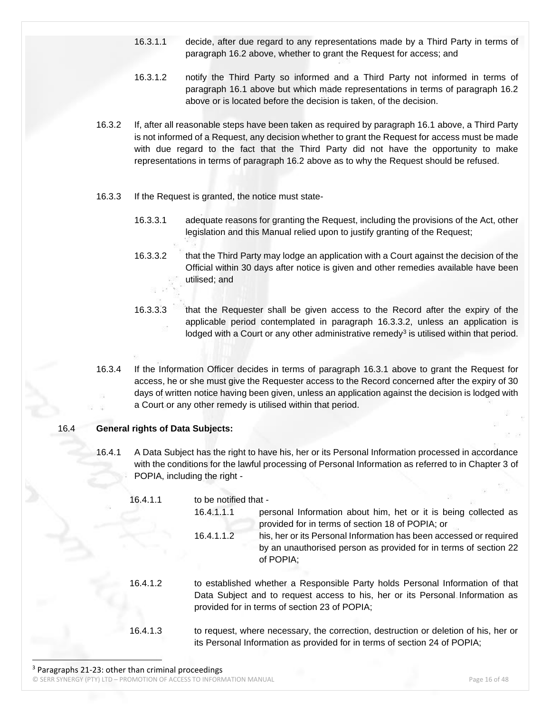- 16.3.1.1 decide, after due regard to any representations made by a Third Party in terms of paragraph 16.2 above, whether to grant the Request for access; and
- 16.3.1.2 notify the Third Party so informed and a Third Party not informed in terms of paragraph 16.1 above but which made representations in terms of paragraph 16.2 above or is located before the decision is taken, of the decision.
- 16.3.2 If, after all reasonable steps have been taken as required by paragraph 16.1 above, a Third Party is not informed of a Request, any decision whether to grant the Request for access must be made with due regard to the fact that the Third Party did not have the opportunity to make representations in terms of paragraph 16.2 above as to why the Request should be refused.
- 16.3.3 If the Request is granted, the notice must state-
	- 16.3.3.1 adequate reasons for granting the Request, including the provisions of the Act, other legislation and this Manual relied upon to justify granting of the Request;
	- 16.3.3.2 that the Third Party may lodge an application with a Court against the decision of the Official within 30 days after notice is given and other remedies available have been utilised; and
	- 16.3.3.3 that the Requester shall be given access to the Record after the expiry of the applicable period contemplated in paragraph 16.3.3.2, unless an application is lodged with a Court or any other administrative remedy<sup>3</sup> is utilised within that period.
- 16.3.4 If the Information Officer decides in terms of paragraph 16.3.1 above to grant the Request for access, he or she must give the Requester access to the Record concerned after the expiry of 30 days of written notice having been given, unless an application against the decision is lodged with a Court or any other remedy is utilised within that period.

#### 16.4 **General rights of Data Subjects:**

16.4.1 A Data Subject has the right to have his, her or its Personal Information processed in accordance with the conditions for the lawful processing of Personal Information as referred to in Chapter 3 of POPIA, including the right -

| 16.4.1.1 | to be notified that - |                                                                                                                                                                                                                 |
|----------|-----------------------|-----------------------------------------------------------------------------------------------------------------------------------------------------------------------------------------------------------------|
|          | 16.4.1.1.1            | personal Information about him, het or it is being collected as<br>provided for in terms of section 18 of POPIA; or                                                                                             |
|          | 16.4.1.1.2            | his, her or its Personal Information has been accessed or required<br>by an unauthorised person as provided for in terms of section 22<br>of POPIA:                                                             |
| 16.4.1.2 |                       | to established whether a Responsible Party holds Personal Information of that<br>Data Subject and to request access to his, her or its Personal Information as<br>provided for in terms of section 23 of POPIA; |
| 16.4.1.3 |                       | to request, where necessary, the correction, destruction or deletion of his, her or<br>its Personal Information as provided for in terms of section 24 of POPIA;                                                |

© SERR SYNERGY (PTY) LTD – PROMOTION OF ACCESS TO INFORMATION MANUAL Page 16 of 48 <sup>3</sup> Paragraphs 21-23: other than criminal proceedings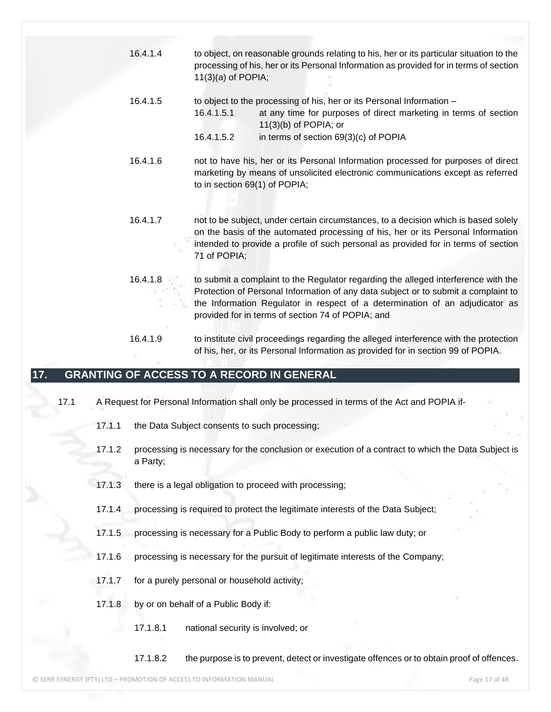- 16.4.1.4 to object, on reasonable grounds relating to his, her or its particular situation to the processing of his, her or its Personal Information as provided for in terms of section 11(3)(a) of POPIA;
- 16.4.1.5 to object to the processing of his, her or its Personal Information 16.4.1.5.1 at any time for purposes of direct marketing in terms of section 11(3)(b) of POPIA; or
	- 16.4.1.5.2 in terms of section 69(3)(c) of POPIA
- 16.4.1.6 not to have his, her or its Personal Information processed for purposes of direct marketing by means of unsolicited electronic communications except as referred to in section 69(1) of POPIA;
- 16.4.1.7 not to be subject, under certain circumstances, to a decision which is based solely on the basis of the automated processing of his, her or its Personal Information intended to provide a profile of such personal as provided for in terms of section 71 of POPIA;
- 16.4.1.8 to submit a complaint to the Regulator regarding the alleged interference with the Protection of Personal Information of any data subject or to submit a complaint to the Information Regulator in respect of a determination of an adjudicator as provided for in terms of section 74 of POPIA; and
- 16.4.1.9 to institute civil proceedings regarding the alleged interference with the protection of his, her, or its Personal Information as provided for in section 99 of POPIA.

## <span id="page-16-0"></span>**17. GRANTING OF ACCESS TO A RECORD IN GENERAL**

- 17.1 A Request for Personal Information shall only be processed in terms of the Act and POPIA if-
	- 17.1.1 the Data Subject consents to such processing;
	- 17.1.2 processing is necessary for the conclusion or execution of a contract to which the Data Subject is a Party;
	- 17.1.3 there is a legal obligation to proceed with processing;
	- 17.1.4 processing is required to protect the legitimate interests of the Data Subject;
	- 17.1.5 processing is necessary for a Public Body to perform a public law duty; or
	- 17.1.6 processing is necessary for the pursuit of legitimate interests of the Company;
	- 17.1.7 for a purely personal or household activity;
	- 17.1.8 by or on behalf of a Public Body if:
		- 17.1.8.1 national security is involved; or
		- 17.1.8.2 the purpose is to prevent, detect or investigate offences or to obtain proof of offences.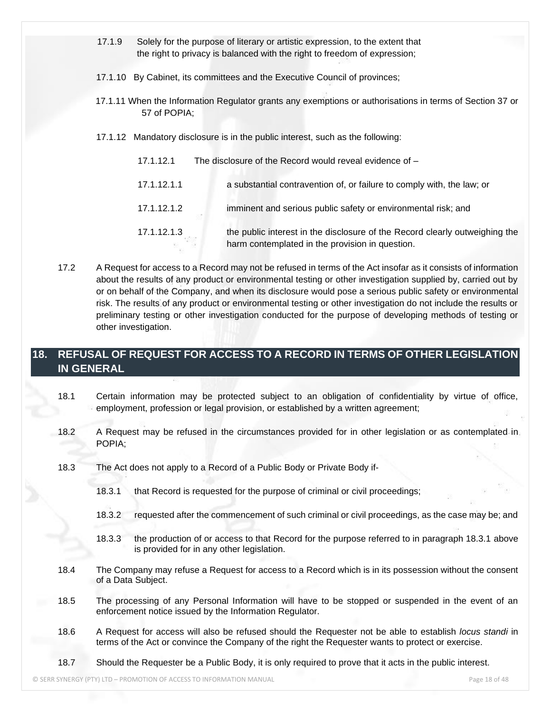- 17.1.9 Solely for the purpose of literary or artistic expression, to the extent that the right to privacy is balanced with the right to freedom of expression;
- 17.1.10 By Cabinet, its committees and the Executive Council of provinces;
- 17.1.11 When the Information Regulator grants any exemptions or authorisations in terms of Section 37 or 57 of POPIA;
- 17.1.12 Mandatory disclosure is in the public interest, such as the following:
	- 17.1.12.1 The disclosure of the Record would reveal evidence of 17.1.12.1.1 a substantial contravention of, or failure to comply with, the law; or 17.1.12.1.2 imminent and serious public safety or environmental risk; and 17.1.12.1.3 the public interest in the disclosure of the Record clearly outweighing the harm contemplated in the provision in question.
- 17.2 A Request for access to a Record may not be refused in terms of the Act insofar as it consists of information about the results of any product or environmental testing or other investigation supplied by, carried out by or on behalf of the Company, and when its disclosure would pose a serious public safety or environmental risk. The results of any product or environmental testing or other investigation do not include the results or preliminary testing or other investigation conducted for the purpose of developing methods of testing or other investigation.

## <span id="page-17-0"></span>**18. REFUSAL OF REQUEST FOR ACCESS TO A RECORD IN TERMS OF OTHER LEGISLATION IN GENERAL**

- 18.1 Certain information may be protected subject to an obligation of confidentiality by virtue of office, employment, profession or legal provision, or established by a written agreement;
- 18.2 A Request may be refused in the circumstances provided for in other legislation or as contemplated in POPIA;
- 18.3 The Act does not apply to a Record of a Public Body or Private Body if-
	- 18.3.1 that Record is requested for the purpose of criminal or civil proceedings;
	- 18.3.2 requested after the commencement of such criminal or civil proceedings, as the case may be; and
	- 18.3.3 the production of or access to that Record for the purpose referred to in paragraph 18.3.1 above is provided for in any other legislation.
- 18.4 The Company may refuse a Request for access to a Record which is in its possession without the consent of a Data Subject.
- 18.5 The processing of any Personal Information will have to be stopped or suspended in the event of an enforcement notice issued by the Information Regulator.
- 18.6 A Request for access will also be refused should the Requester not be able to establish *locus standi* in terms of the Act or convince the Company of the right the Requester wants to protect or exercise.
- 18.7 Should the Requester be a Public Body, it is only required to prove that it acts in the public interest.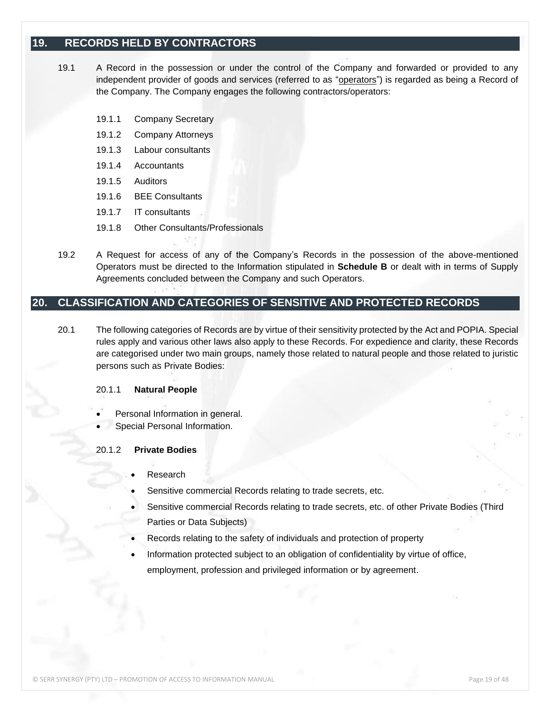## <span id="page-18-0"></span>**19. RECORDS HELD BY CONTRACTORS**

- 19.1 A Record in the possession or under the control of the Company and forwarded or provided to any independent provider of goods and services (referred to as "operators") is regarded as being a Record of the Company. The Company engages the following contractors/operators:
	- 19.1.1 Company Secretary
	- 19.1.2 Company Attorneys
	- 19.1.3 Labour consultants
	- 19.1.4 Accountants
	- 19.1.5 Auditors
	- 19.1.6 BEE Consultants
	- 19.1.7 IT consultants
	- 19.1.8 Other Consultants/Professionals
- 19.2 A Request for access of any of the Company's Records in the possession of the above-mentioned Operators must be directed to the Information stipulated in **Schedule B** or dealt with in terms of Supply Agreements concluded between the Company and such Operators.

## <span id="page-18-1"></span>**20. CLASSIFICATION AND CATEGORIES OF SENSITIVE AND PROTECTED RECORDS**

20.1 The following categories of Records are by virtue of their sensitivity protected by the Act and POPIA. Special rules apply and various other laws also apply to these Records. For expedience and clarity, these Records are categorised under two main groups, namely those related to natural people and those related to juristic persons such as Private Bodies:

#### 20.1.1 **Natural People**

- Personal Information in general.
- Special Personal Information.

#### 20.1.2 **Private Bodies**

- **Research**
- Sensitive commercial Records relating to trade secrets, etc.
- Sensitive commercial Records relating to trade secrets, etc. of other Private Bodies (Third Parties or Data Subjects)
- Records relating to the safety of individuals and protection of property
- Information protected subject to an obligation of confidentiality by virtue of office, employment, profession and privileged information or by agreement.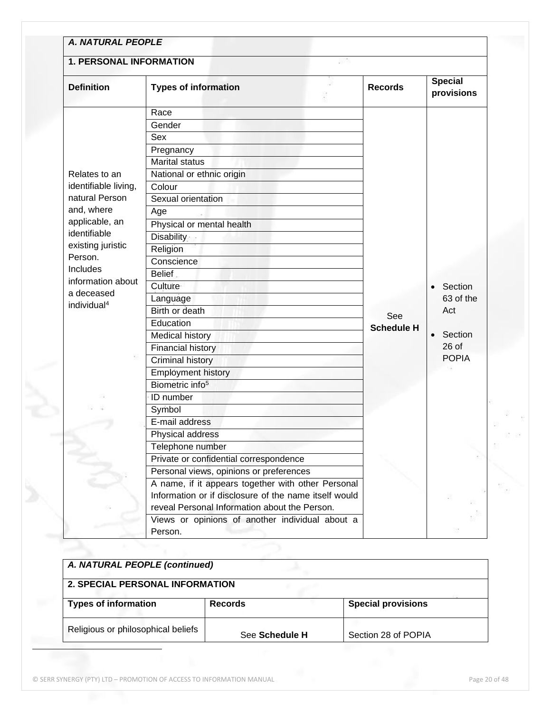| <b>1. PERSONAL INFORMATION</b>                       |                                                       |                   |                              |
|------------------------------------------------------|-------------------------------------------------------|-------------------|------------------------------|
| <b>Definition</b>                                    | <b>Types of information</b>                           | <b>Records</b>    | <b>Special</b><br>provisions |
|                                                      | Race                                                  |                   |                              |
|                                                      | Gender                                                |                   |                              |
|                                                      | Sex                                                   |                   |                              |
|                                                      | Pregnancy                                             |                   |                              |
|                                                      | <b>Marital status</b>                                 |                   |                              |
| Relates to an                                        | National or ethnic origin                             |                   |                              |
| identifiable living,<br>natural Person<br>and, where | Colour                                                |                   |                              |
|                                                      | Sexual orientation                                    |                   |                              |
|                                                      | Age                                                   |                   |                              |
| applicable, an                                       | Physical or mental health                             |                   |                              |
| identifiable                                         | Disability                                            |                   |                              |
| existing juristic                                    | Religion                                              |                   |                              |
| Person.                                              | Conscience                                            |                   |                              |
| Includes                                             | <b>Belief</b>                                         |                   |                              |
| information about                                    | Culture                                               |                   | Section                      |
| a deceased                                           | Language                                              |                   | 63 of the                    |
| individual <sup>4</sup>                              | Birth or death                                        |                   | Act                          |
|                                                      | Education                                             | See               |                              |
|                                                      | <b>Medical history</b>                                | <b>Schedule H</b> | Section                      |
|                                                      | <b>Financial history</b>                              |                   | $26$ of                      |
|                                                      | <b>Criminal history</b>                               |                   | <b>POPIA</b>                 |
|                                                      | <b>Employment history</b>                             |                   |                              |
|                                                      | Biometric info <sup>5</sup>                           |                   |                              |
|                                                      | ID number                                             |                   |                              |
|                                                      | Symbol                                                |                   |                              |
|                                                      | E-mail address                                        |                   |                              |
|                                                      | Physical address                                      |                   |                              |
|                                                      | Telephone number                                      |                   |                              |
|                                                      | Private or confidential correspondence                |                   |                              |
|                                                      | Personal views, opinions or preferences               |                   |                              |
|                                                      | A name, if it appears together with other Personal    |                   |                              |
|                                                      | Information or if disclosure of the name itself would |                   |                              |
|                                                      | reveal Personal Information about the Person.         |                   |                              |
|                                                      | Views or opinions of another individual about a       |                   |                              |
|                                                      | Person.                                               |                   |                              |

| A. NATURAL PEOPLE (continued)      |                |                           |  |  |
|------------------------------------|----------------|---------------------------|--|--|
| 2. SPECIAL PERSONAL INFORMATION    |                |                           |  |  |
| <b>Types of information</b>        | <b>Records</b> | <b>Special provisions</b> |  |  |
| Religious or philosophical beliefs |                | Section 28 of POPIA       |  |  |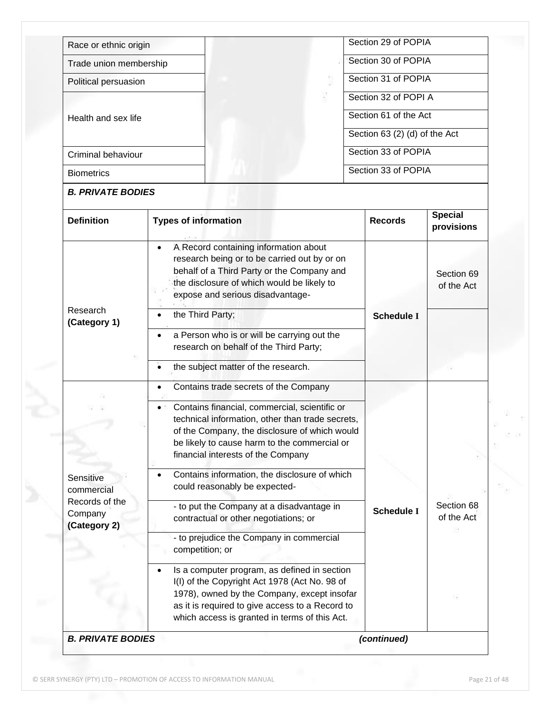| Race or ethnic origin    |                                                                                                                                                                                                                                          |                                                                                                                                                                | Section 29 of POPIA           |                              |
|--------------------------|------------------------------------------------------------------------------------------------------------------------------------------------------------------------------------------------------------------------------------------|----------------------------------------------------------------------------------------------------------------------------------------------------------------|-------------------------------|------------------------------|
| Trade union membership   |                                                                                                                                                                                                                                          |                                                                                                                                                                | Section 30 of POPIA           |                              |
| Political persuasion     |                                                                                                                                                                                                                                          |                                                                                                                                                                | Section 31 of POPIA           |                              |
|                          |                                                                                                                                                                                                                                          |                                                                                                                                                                | Section 32 of POPI A          |                              |
| Health and sex life      |                                                                                                                                                                                                                                          |                                                                                                                                                                | Section 61 of the Act         |                              |
|                          |                                                                                                                                                                                                                                          |                                                                                                                                                                | Section 63 (2) (d) of the Act |                              |
| Criminal behaviour       |                                                                                                                                                                                                                                          |                                                                                                                                                                | Section 33 of POPIA           |                              |
| <b>Biometrics</b>        |                                                                                                                                                                                                                                          | Section 33 of POPIA                                                                                                                                            |                               |                              |
| <b>B. PRIVATE BODIES</b> |                                                                                                                                                                                                                                          |                                                                                                                                                                |                               |                              |
| <b>Definition</b>        | <b>Types of information</b>                                                                                                                                                                                                              |                                                                                                                                                                | <b>Records</b>                | <b>Special</b><br>provisions |
| Research<br>(Category 1) | A Record containing information about<br>$\bullet$<br>the disclosure of which would be likely to<br>expose and serious disadvantage-<br>the Third Party;                                                                                 | research being or to be carried out by or on<br>behalf of a Third Party or the Company and<br><b>Schedule I</b><br>a Person who is or will be carrying out the |                               |                              |
|                          | research on behalf of the Third Party;<br>the subject matter of the research.                                                                                                                                                            |                                                                                                                                                                |                               |                              |
|                          | Contains trade secrets of the Company<br>$\bullet$                                                                                                                                                                                       |                                                                                                                                                                |                               |                              |
|                          | Contains financial, commercial, scientific or<br>technical information, other than trade secrets,<br>of the Company, the disclosure of which would<br>be likely to cause harm to the commercial or<br>financial interests of the Company |                                                                                                                                                                |                               |                              |
| Sensitive<br>commercial  | Contains information, the disclosure of which<br>could reasonably be expected-                                                                                                                                                           |                                                                                                                                                                |                               |                              |

|  | 1978), owned by the Company, except insofar | Is a computer program, as defined in section<br>I(I) of the Copyright Act 1978 (Act No. 98 of |  | as it is required to give access to a Record to<br>which access is granted in terms of this Act. |  |  |
|--|---------------------------------------------|-----------------------------------------------------------------------------------------------|--|--------------------------------------------------------------------------------------------------|--|--|
|--|---------------------------------------------|-----------------------------------------------------------------------------------------------|--|--------------------------------------------------------------------------------------------------|--|--|

- to put the Company at a disadvantage in

- to prejudice the Company in commercial

contractual or other negotiations; or

Records of the **Company (Category 2)**

**Schedule I**

Section 68 of the Act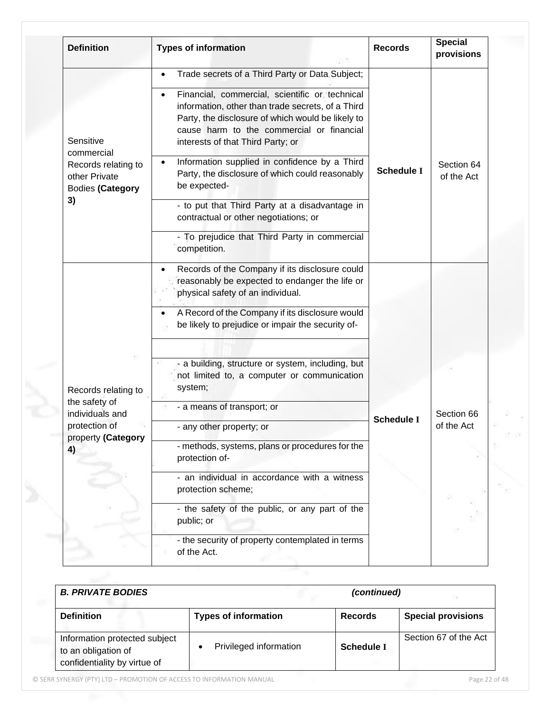| <b>Definition</b>                                        | <b>Types of information</b>                                                                                                                                                                                                                | <b>Records</b>    | <b>Special</b><br>provisions |
|----------------------------------------------------------|--------------------------------------------------------------------------------------------------------------------------------------------------------------------------------------------------------------------------------------------|-------------------|------------------------------|
|                                                          | Trade secrets of a Third Party or Data Subject;<br>$\bullet$                                                                                                                                                                               |                   |                              |
| Sensitive<br>commercial                                  | Financial, commercial, scientific or technical<br>information, other than trade secrets, of a Third<br>Party, the disclosure of which would be likely to<br>cause harm to the commercial or financial<br>interests of that Third Party; or |                   |                              |
| Records relating to<br>other Private<br>Bodies (Category | Information supplied in confidence by a Third<br>Party, the disclosure of which could reasonably<br>be expected-                                                                                                                           | <b>Schedule I</b> | Section 64<br>of the Act     |
| 3)                                                       | - to put that Third Party at a disadvantage in<br>contractual or other negotiations; or                                                                                                                                                    |                   |                              |
|                                                          | - To prejudice that Third Party in commercial<br>competition.                                                                                                                                                                              |                   |                              |
|                                                          | Records of the Company if its disclosure could<br>reasonably be expected to endanger the life or<br>physical safety of an individual.                                                                                                      |                   |                              |
|                                                          | A Record of the Company if its disclosure would<br>be likely to prejudice or impair the security of-                                                                                                                                       |                   |                              |
| Records relating to                                      | - a building, structure or system, including, but<br>not limited to, a computer or communication<br>system;                                                                                                                                |                   |                              |
| the safety of<br>individuals and                         | - a means of transport; or                                                                                                                                                                                                                 | <b>Schedule I</b> | Section 66                   |
| protection of<br>property (Category                      | - any other property; or                                                                                                                                                                                                                   |                   | of the Act                   |
| 4)                                                       | - methods, systems, plans or procedures for the<br>protection of-                                                                                                                                                                          |                   |                              |
|                                                          | - an individual in accordance with a witness<br>protection scheme;                                                                                                                                                                         |                   |                              |
|                                                          | - the safety of the public, or any part of the<br>public; or                                                                                                                                                                               |                   |                              |
|                                                          | - the security of property contemplated in terms<br>of the Act.                                                                                                                                                                            |                   |                              |

| <b>B. PRIVATE BODIES</b>                                                             |                             | (continued)       |                           |
|--------------------------------------------------------------------------------------|-----------------------------|-------------------|---------------------------|
| <b>Definition</b>                                                                    | <b>Types of information</b> | <b>Records</b>    | <b>Special provisions</b> |
| Information protected subject<br>to an obligation of<br>confidentiality by virtue of | Privileged information      | <b>Schedule I</b> | Section 67 of the Act     |

© SERR SYNERGY (PTY) LTD – PROMOTION OF ACCESS TO INFORMATION MANUAL Page 22 of 48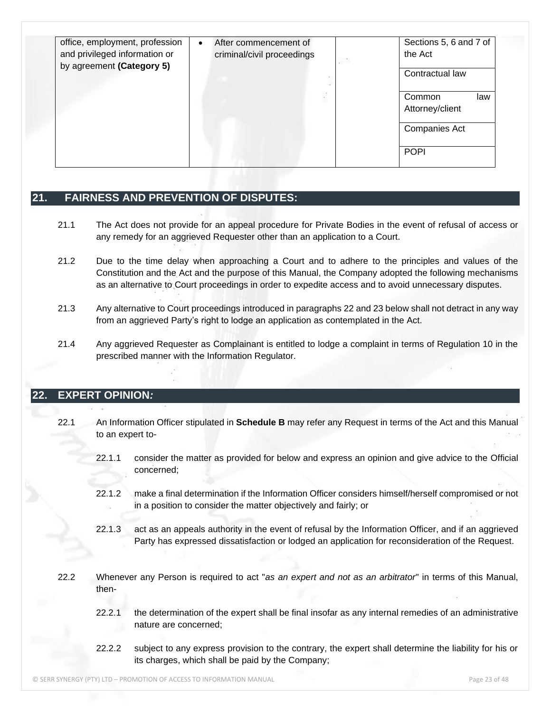| office, employment, profession<br>and privileged information or<br>by agreement (Category 5) | After commencement of<br>$\bullet$<br>criminal/civil proceedings | Sections 5, 6 and 7 of<br>the Act<br>5376<br>Contractual law |
|----------------------------------------------------------------------------------------------|------------------------------------------------------------------|--------------------------------------------------------------|
|                                                                                              | ä                                                                | Common<br>law<br>Attorney/client                             |
|                                                                                              |                                                                  | <b>Companies Act</b>                                         |
|                                                                                              |                                                                  | <b>POPI</b>                                                  |

## <span id="page-22-0"></span>**21. FAIRNESS AND PREVENTION OF DISPUTES:**

- 21.1 The Act does not provide for an appeal procedure for Private Bodies in the event of refusal of access or any remedy for an aggrieved Requester other than an application to a Court.
- 21.2 Due to the time delay when approaching a Court and to adhere to the principles and values of the Constitution and the Act and the purpose of this Manual, the Company adopted the following mechanisms as an alternative to Court proceedings in order to expedite access and to avoid unnecessary disputes.
- 21.3 Any alternative to Court proceedings introduced in paragraphs 22 and 23 below shall not detract in any way from an aggrieved Party's right to lodge an application as contemplated in the Act.
- 21.4 Any aggrieved Requester as Complainant is entitled to lodge a complaint in terms of Regulation 10 in the prescribed manner with the Information Regulator.

## <span id="page-22-1"></span>**22. EXPERT OPINION***:*

- 22.1 An Information Officer stipulated in **Schedule B** may refer any Request in terms of the Act and this Manual to an expert to-
	- 22.1.1 consider the matter as provided for below and express an opinion and give advice to the Official concerned;
	- 22.1.2 make a final determination if the Information Officer considers himself/herself compromised or not in a position to consider the matter objectively and fairly; or
	- 22.1.3 act as an appeals authority in the event of refusal by the Information Officer, and if an aggrieved Party has expressed dissatisfaction or lodged an application for reconsideration of the Request.
- 22.2 Whenever any Person is required to act "*as an expert and not as an arbitrator*" in terms of this Manual, then-
	- 22.2.1 the determination of the expert shall be final insofar as any internal remedies of an administrative nature are concerned;
	- 22.2.2 subject to any express provision to the contrary, the expert shall determine the liability for his or its charges, which shall be paid by the Company;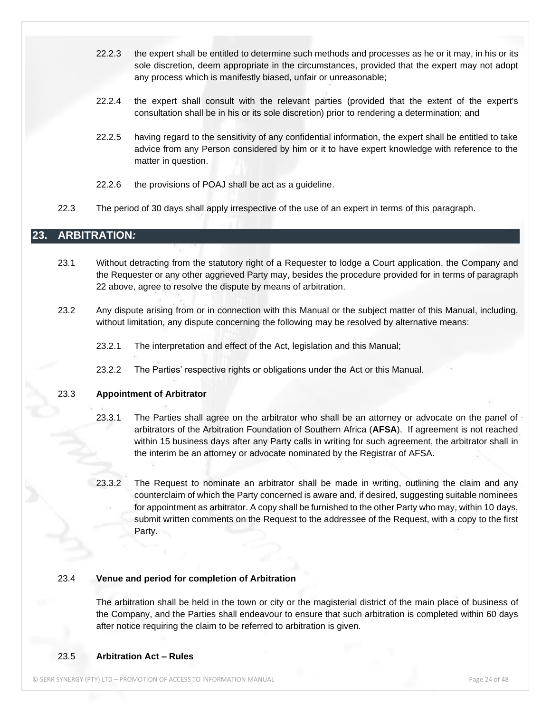- 22.2.3 the expert shall be entitled to determine such methods and processes as he or it may, in his or its sole discretion, deem appropriate in the circumstances, provided that the expert may not adopt any process which is manifestly biased, unfair or unreasonable;
- 22.2.4 the expert shall consult with the relevant parties (provided that the extent of the expert's consultation shall be in his or its sole discretion) prior to rendering a determination; and
- 22.2.5 having regard to the sensitivity of any confidential information, the expert shall be entitled to take advice from any Person considered by him or it to have expert knowledge with reference to the matter in question.
- 22.2.6 the provisions of POAJ shall be act as a guideline.
- 22.3 The period of 30 days shall apply irrespective of the use of an expert in terms of this paragraph.

#### <span id="page-23-0"></span>**23. ARBITRATION***:*

- 23.1 Without detracting from the statutory right of a Requester to lodge a Court application, the Company and the Requester or any other aggrieved Party may, besides the procedure provided for in terms of paragraph 22 above, agree to resolve the dispute by means of arbitration.
- 23.2 Any dispute arising from or in connection with this Manual or the subject matter of this Manual, including, without limitation, any dispute concerning the following may be resolved by alternative means:
	- 23.2.1 The interpretation and effect of the Act, legislation and this Manual;
	- 23.2.2 The Parties' respective rights or obligations under the Act or this Manual.

#### 23.3 **Appointment of Arbitrator**

- 23.3.1 The Parties shall agree on the arbitrator who shall be an attorney or advocate on the panel of arbitrators of the Arbitration Foundation of Southern Africa (**AFSA**). If agreement is not reached within 15 business days after any Party calls in writing for such agreement, the arbitrator shall in the interim be an attorney or advocate nominated by the Registrar of AFSA.
- 23.3.2 The Request to nominate an arbitrator shall be made in writing, outlining the claim and any counterclaim of which the Party concerned is aware and, if desired, suggesting suitable nominees for appointment as arbitrator. A copy shall be furnished to the other Party who may, within 10 days, submit written comments on the Request to the addressee of the Request, with a copy to the first Party.

#### 23.4 **Venue and period for completion of Arbitration**

The arbitration shall be held in the town or city or the magisterial district of the main place of business of the Company, and the Parties shall endeavour to ensure that such arbitration is completed within 60 days after notice requiring the claim to be referred to arbitration is given.

#### 23.5 **Arbitration Act – Rules**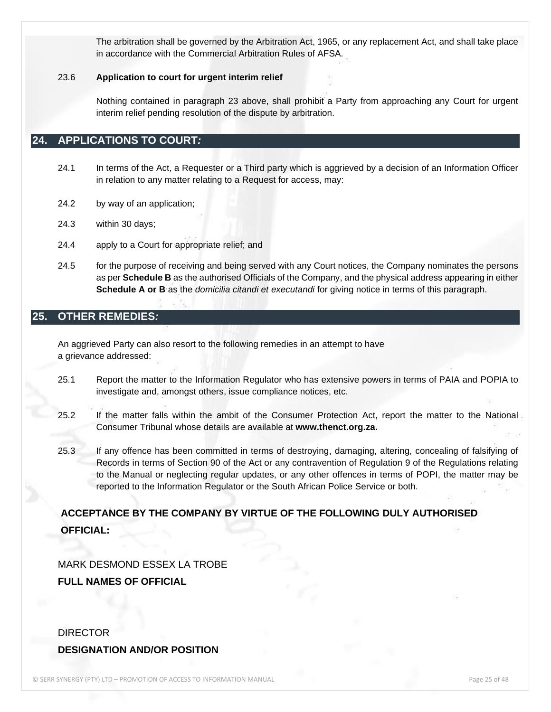The arbitration shall be governed by the Arbitration Act, 1965, or any replacement Act, and shall take place in accordance with the Commercial Arbitration Rules of AFSA.

#### 23.6 **Application to court for urgent interim relief**

Nothing contained in paragraph 23 above, shall prohibit a Party from approaching any Court for urgent interim relief pending resolution of the dispute by arbitration.

#### <span id="page-24-0"></span>**24. APPLICATIONS TO COURT***:*

- 24.1 In terms of the Act, a Requester or a Third party which is aggrieved by a decision of an Information Officer in relation to any matter relating to a Request for access, may:
- 24.2 by way of an application;
- 24.3 within 30 days;
- 24.4 apply to a Court for appropriate relief; and
- 24.5 for the purpose of receiving and being served with any Court notices, the Company nominates the persons as per **Schedule B** as the authorised Officials of the Company, and the physical address appearing in either **Schedule A or B** as the *domicilia citandi et executandi* for giving notice in terms of this paragraph.

### <span id="page-24-1"></span>**25. OTHER REMEDIES***:*

An aggrieved Party can also resort to the following remedies in an attempt to have a grievance addressed:

- 25.1 Report the matter to the Information Regulator who has extensive powers in terms of PAIA and POPIA to investigate and, amongst others, issue compliance notices, etc.
- 25.2 If the matter falls within the ambit of the Consumer Protection Act, report the matter to the National Consumer Tribunal whose details are available at **www.thenct.org.za.**
- 25.3 If any offence has been committed in terms of destroying, damaging, altering, concealing of falsifying of Records in terms of Section 90 of the Act or any contravention of Regulation 9 of the Regulations relating to the Manual or neglecting regular updates, or any other offences in terms of POPI, the matter may be reported to the Information Regulator or the South African Police Service or both.

## **ACCEPTANCE BY THE COMPANY BY VIRTUE OF THE FOLLOWING DULY AUTHORISED OFFICIAL:**

#### MARK DESMOND ESSEX LA TROBE

**FULL NAMES OF OFFICIAL**

## DIRECTOR **DESIGNATION AND/OR POSITION**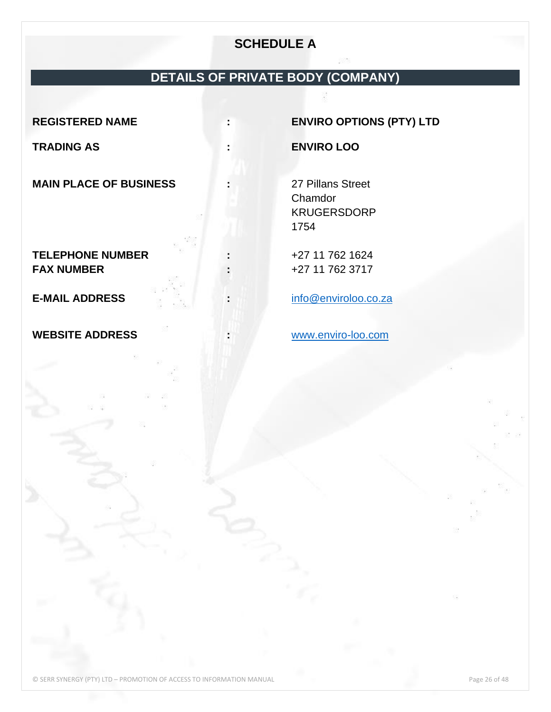## **SCHEDULE A**

## **DETAILS OF PRIVATE BODY (COMPANY)**

**MAIN PLACE OF BUSINESS :** 27 Pillans Street

**TELEPHONE NUMBER :** +27 11 762 1624 **FAX NUMBER :** +27 11 762 3717

**WEBSITE ADDRESS :** [www.enviro-loo.com](http://www.enviro-loo.com/)

<span id="page-25-0"></span>**REGISTERED NAME : ENVIRO OPTIONS (PTY) LTD**

**TRADING AS : ENVIRO LOO**

Chamdor KRUGERSDORP 1754

**E-MAIL ADDRESS :** [info@enviroloo.co.za](mailto:info@enviroloo.co.za)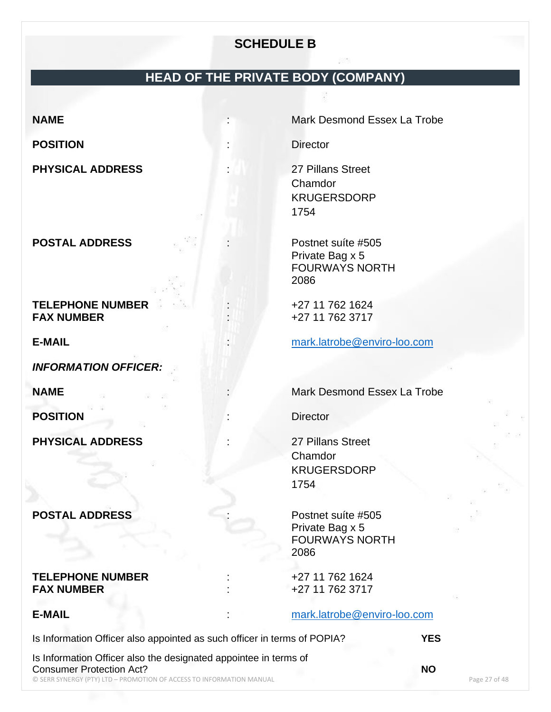## **SCHEDULE B**

## **HEAD OF THE PRIVATE BODY (COMPANY)**

**POSITION** : Director

**PHYSICAL ADDRESS** : 27 Pillans Street

**POSTAL ADDRESS** : Postnet suíte #505

**TELEPHONE NUMBER**  $+27 11 762 1624$ <br>**FAX NUMBER**  $+27 11 762 3717$ 

*INFORMATION OFFICER:*

**POSITION** : Director

**PHYSICAL ADDRESS** : 27 Pillans Street

## **POSTAL ADDRESS** : Postnet suíte #505

#### **TELEPHONE NUMBER**  $+27$  11 762 1624 **FAX NUMBER**  $+27$  11 762 3717

<span id="page-26-0"></span>**NAME** : Mark Desmond Essex La Trobe

Chamdor KRUGERSDORP 1754

Private Bag x 5 FOURWAYS NORTH 2086

**FAX NUMBER** : +27 11 762 3717

**E-MAIL** : [mark.latrobe@enviro-loo.com](mailto:mark.latrobe@enviro-loo.com)

**NAME III. A RESERVING CONSTRUCTED MARK Desmond Essex La Trobe** 

**Chamdor** KRUGERSDORP 1754

Private Bag x 5 FOURWAYS NORTH 2086

**E-MAIL** : [mark.latrobe@enviro-loo.com](mailto:mark.latrobe@enviro-loo.com)

Is Information Officer also appointed as such officer in terms of POPIA? **YES**

© SERR SYNERGY (PTY) LTD – PROMOTION OF ACCESS TO INFORMATION MANUAL Page 27 of 48 Is Information Officer also the designated appointee in terms of Consumer Protection Act? **NO**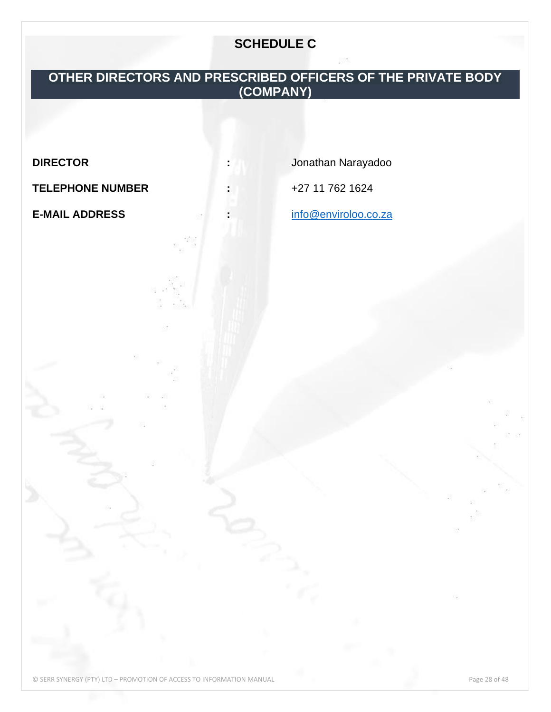## **SCHEDULE C**

## <span id="page-27-0"></span>**OTHER DIRECTORS AND PRESCRIBED OFFICERS OF THE PRIVATE BODY (COMPANY)**

**TELEPHONE NUMBER :** +27 11 762 1624

<span id="page-27-1"></span>

**DIRECTOR :** Jonathan Narayadoo

**E-MAIL ADDRESS :** [info@enviroloo.co.za](mailto:info@enviroloo.co.za)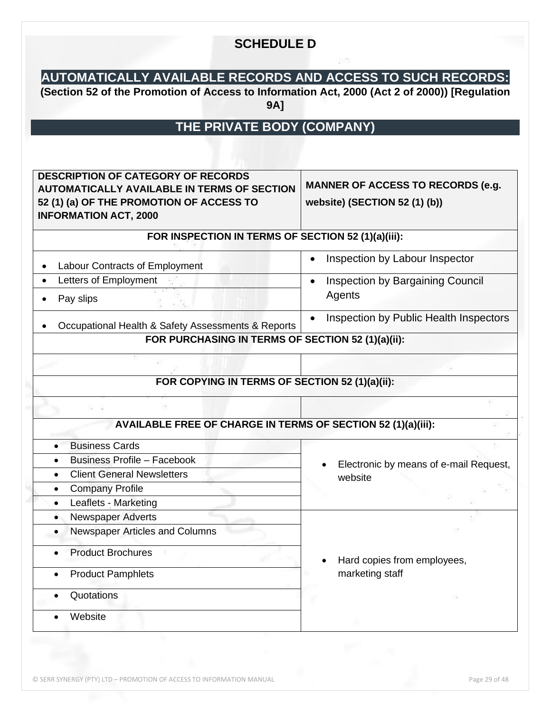## **SCHEDULE D**

## **AUTOMATICALLY AVAILABLE RECORDS AND ACCESS TO SUCH RECORDS:**

**(Section 52 of the Promotion of Access to Information Act, 2000 (Act 2 of 2000)) [Regulation 9A]**

## **THE PRIVATE BODY (COMPANY)**

<span id="page-28-0"></span>

| <b>DESCRIPTION OF CATEGORY OF RECORDS</b><br><b>AUTOMATICALLY AVAILABLE IN TERMS OF SECTION</b><br>52 (1) (a) OF THE PROMOTION OF ACCESS TO<br><b>INFORMATION ACT, 2000</b> | <b>MANNER OF ACCESS TO RECORDS (e.g.</b><br>website) (SECTION 52 (1) (b)) |
|-----------------------------------------------------------------------------------------------------------------------------------------------------------------------------|---------------------------------------------------------------------------|
| FOR INSPECTION IN TERMS OF SECTION 52 (1)(a)(iii):                                                                                                                          |                                                                           |
| Labour Contracts of Employment                                                                                                                                              | Inspection by Labour Inspector                                            |
| Letters of Employment<br>$\bullet$<br>Pay slips<br>$\bullet$                                                                                                                | Inspection by Bargaining Council<br>$\bullet$<br>Agents                   |
| Occupational Health & Safety Assessments & Reports                                                                                                                          | Inspection by Public Health Inspectors<br>$\bullet$                       |
| FOR PURCHASING IN TERMS OF SECTION 52 (1)(a)(ii):                                                                                                                           |                                                                           |
|                                                                                                                                                                             |                                                                           |
| FOR COPYING IN TERMS OF SECTION 52 (1)(a)(ii):                                                                                                                              |                                                                           |
| AVAILABLE FREE OF CHARGE IN TERMS OF SECTION 52 (1)(a)(iii):                                                                                                                |                                                                           |
| <b>Business Cards</b>                                                                                                                                                       |                                                                           |
| <b>Business Profile - Facebook</b><br>$\bullet$                                                                                                                             | Electronic by means of e-mail Request,                                    |
| <b>Client General Newsletters</b><br>$\bullet$                                                                                                                              | website                                                                   |
| <b>Company Profile</b><br>$\bullet$                                                                                                                                         |                                                                           |
| Leaflets - Marketing<br>$\bullet$                                                                                                                                           |                                                                           |
| Newspaper Adverts<br>$\bullet$                                                                                                                                              |                                                                           |
| Newspaper Articles and Columns<br>$\bullet$                                                                                                                                 |                                                                           |
| <b>Product Brochures</b>                                                                                                                                                    | Hard copies from employees,                                               |
| <b>Product Pamphlets</b><br>$\bullet$                                                                                                                                       | marketing staff                                                           |
| Quotations                                                                                                                                                                  |                                                                           |
| Website                                                                                                                                                                     |                                                                           |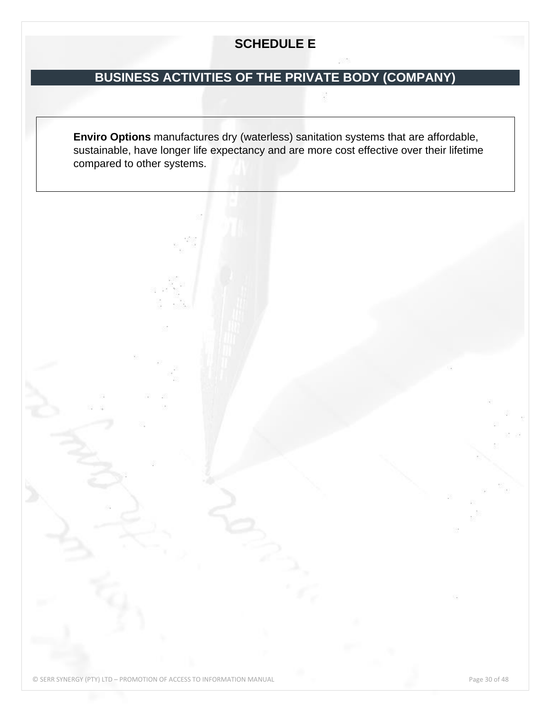## **SCHEDULE E**

## **BUSINESS ACTIVITIES OF THE PRIVATE BODY (COMPANY)**

**Enviro Options** manufactures dry (waterless) sanitation systems that are affordable, sustainable, have longer life expectancy and are more cost effective over their lifetime compared to other systems.

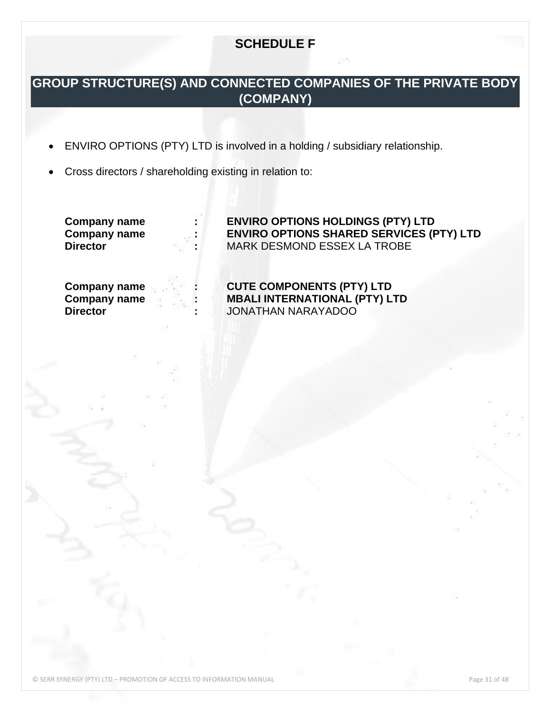## **SCHEDULE F**

## <span id="page-30-0"></span>**GROUP STRUCTURE(S) AND CONNECTED COMPANIES OF THE PRIVATE BODY (COMPANY)**

- ENVIRO OPTIONS (PTY) LTD is involved in a holding / subsidiary relationship.
- Cross directors / shareholding existing in relation to:

**Company name : ENVIRO OPTIONS HOLDINGS (PTY) LTD Company name : ENVIRO OPTIONS SHARED SERVICES (PTY) LTD Director :** MARK DESMOND ESSEX LA TROBE

**Company name COUTE COMPONENTS (PTY) LTD**<br> **COMPONENTS (PTY) LTD**<br> **INDALI INTERNATIONAL (PTY) LTD Company name : MBALI INTERNATIONAL (PTY) LTD Director :** JONATHAN NARAYADOO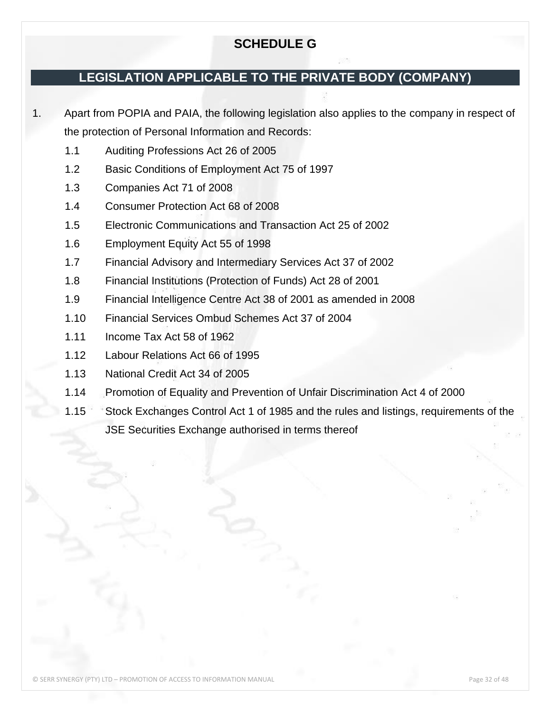## **SCHEDULE G**

## <span id="page-31-0"></span>**LEGISLATION APPLICABLE TO THE PRIVATE BODY (COMPANY)**

1. Apart from POPIA and PAIA, the following legislation also applies to the company in respect of the protection of Personal Information and Records:

- 1.1 Auditing Professions Act 26 of 2005
- 1.2 Basic Conditions of Employment Act 75 of 1997
- 1.3 Companies Act 71 of 2008
- 1.4 Consumer Protection Act 68 of 2008
- 1.5 Electronic Communications and Transaction Act 25 of 2002
- 1.6 Employment Equity Act 55 of 1998
- 1.7 Financial Advisory and Intermediary Services Act 37 of 2002
- 1.8 Financial Institutions (Protection of Funds) Act 28 of 2001
- 1.9 Financial Intelligence Centre Act 38 of 2001 as amended in 2008
- 1.10 Financial Services Ombud Schemes Act 37 of 2004
- 1.11 Income Tax Act 58 of 1962
- 1.12 Labour Relations Act 66 of 1995
- 1.13 National Credit Act 34 of 2005
- 1.14 Promotion of Equality and Prevention of Unfair Discrimination Act 4 of 2000
- 1.15 Stock Exchanges Control Act 1 of 1985 and the rules and listings, requirements of the JSE Securities Exchange authorised in terms thereof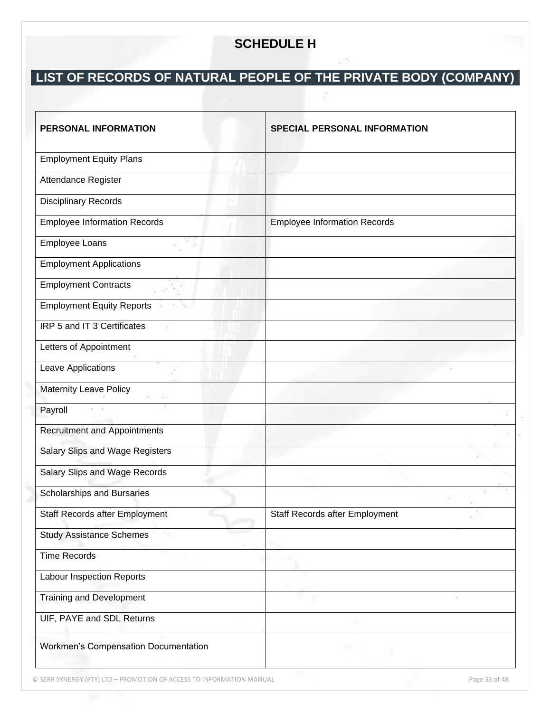## **SCHEDULE H**

# <span id="page-32-0"></span>**LIST OF RECORDS OF NATURAL PEOPLE OF THE PRIVATE BODY (COMPANY)**

| PERSONAL INFORMATION                        | SPECIAL PERSONAL INFORMATION        |
|---------------------------------------------|-------------------------------------|
| <b>Employment Equity Plans</b>              |                                     |
| Attendance Register                         |                                     |
| <b>Disciplinary Records</b>                 |                                     |
| <b>Employee Information Records</b>         | <b>Employee Information Records</b> |
| Employee Loans                              |                                     |
| <b>Employment Applications</b>              |                                     |
| <b>Employment Contracts</b>                 |                                     |
| <b>Employment Equity Reports</b>            |                                     |
| IRP 5 and IT 3 Certificates                 |                                     |
| Letters of Appointment                      |                                     |
| Leave Applications                          |                                     |
| <b>Maternity Leave Policy</b>               |                                     |
| Payroll                                     |                                     |
| <b>Recruitment and Appointments</b>         |                                     |
| Salary Slips and Wage Registers             |                                     |
| Salary Slips and Wage Records               |                                     |
| <b>Scholarships and Bursaries</b>           |                                     |
| <b>Staff Records after Employment</b>       | Staff Records after Employment      |
| <b>Study Assistance Schemes</b>             |                                     |
| <b>Time Records</b>                         |                                     |
| Labour Inspection Reports                   |                                     |
| <b>Training and Development</b>             |                                     |
| UIF, PAYE and SDL Returns                   |                                     |
| <b>Workmen's Compensation Documentation</b> |                                     |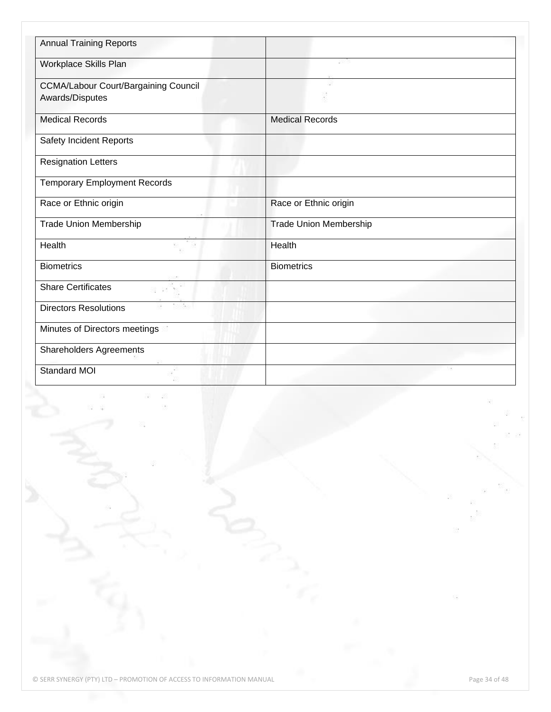| <b>Annual Training Reports</b>              |                               |
|---------------------------------------------|-------------------------------|
| Workplace Skills Plan                       |                               |
| <b>CCMA/Labour Court/Bargaining Council</b> |                               |
| Awards/Disputes                             |                               |
| <b>Medical Records</b>                      | <b>Medical Records</b>        |
| Safety Incident Reports                     |                               |
| <b>Resignation Letters</b>                  |                               |
| <b>Temporary Employment Records</b>         |                               |
| Race or Ethnic origin                       | Race or Ethnic origin         |
| <b>Trade Union Membership</b>               | <b>Trade Union Membership</b> |
| Health                                      | Health                        |
| <b>Biometrics</b>                           | <b>Biometrics</b>             |
| <b>Share Certificates</b><br>22             |                               |
| <b>Directors Resolutions</b><br>24324       |                               |
| Minutes of Directors meetings               |                               |
| <b>Shareholders Agreements</b>              |                               |
| <b>Standard MOI</b>                         |                               |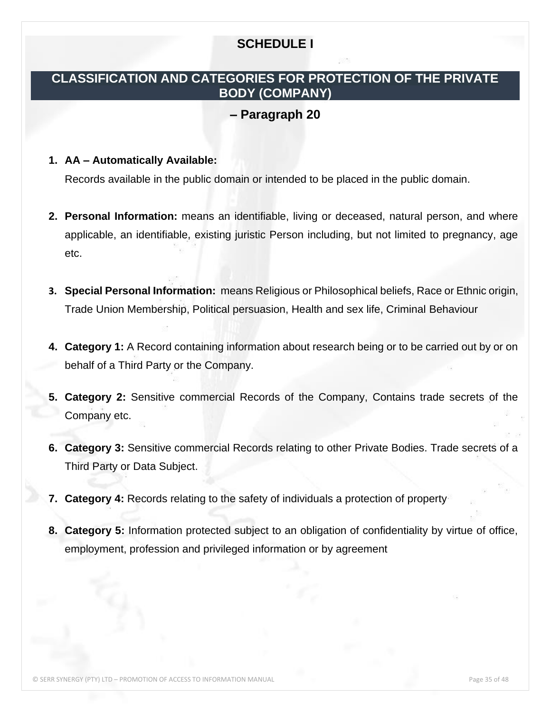## **SCHEDULE I**

## <span id="page-34-0"></span>**CLASSIFICATION AND CATEGORIES FOR PROTECTION OF THE PRIVATE BODY (COMPANY)**

## **– Paragraph 20**

## **1. AA – Automatically Available:**

Records available in the public domain or intended to be placed in the public domain.

- **2. Personal Information:** means an identifiable, living or deceased, natural person, and where applicable, an identifiable, existing juristic Person including, but not limited to pregnancy, age etc.
- **3. Special Personal Information:** means Religious or Philosophical beliefs, Race or Ethnic origin, Trade Union Membership, Political persuasion, Health and sex life, Criminal Behaviour
- **4. Category 1:** A Record containing information about research being or to be carried out by or on behalf of a Third Party or the Company.
- **5. Category 2:** Sensitive commercial Records of the Company, Contains trade secrets of the Company etc.
- **6. Category 3:** Sensitive commercial Records relating to other Private Bodies. Trade secrets of a Third Party or Data Subject.
- **7. Category 4:** Records relating to the safety of individuals a protection of property
- **8. Category 5:** Information protected subject to an obligation of confidentiality by virtue of office, employment, profession and privileged information or by agreement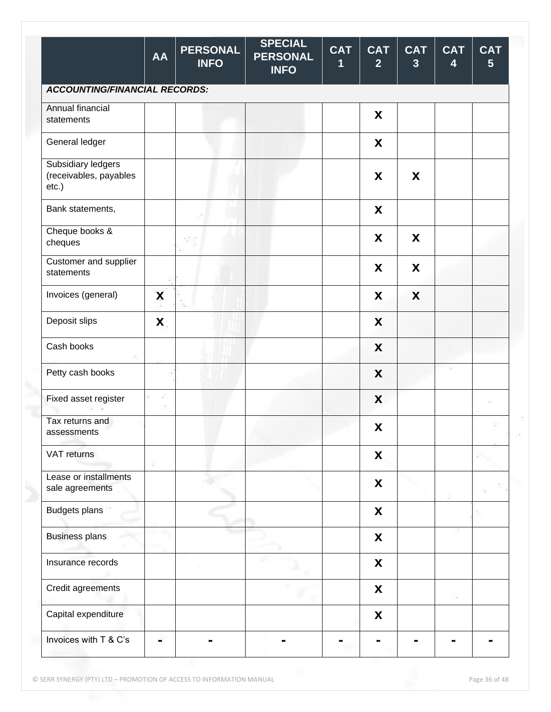|                                                          | <b>AA</b> | <b>PERSONAL</b><br><b>INFO</b> | <b>SPECIAL</b><br><b>PERSONAL</b><br><b>INFO</b> | <b>CAT</b><br>1 | <b>CAT</b><br>$\overline{2}$ | <b>CAT</b><br>3 | <b>CAT</b><br>$\overline{\mathbf{4}}$ | <b>CAT</b><br>$5\phantom{.}$ |
|----------------------------------------------------------|-----------|--------------------------------|--------------------------------------------------|-----------------|------------------------------|-----------------|---------------------------------------|------------------------------|
| <b>ACCOUNTING/FINANCIAL RECORDS:</b>                     |           |                                |                                                  |                 |                              |                 |                                       |                              |
| Annual financial<br>statements                           |           |                                |                                                  |                 | X                            |                 |                                       |                              |
| General ledger                                           |           |                                |                                                  |                 | X                            |                 |                                       |                              |
| Subsidiary ledgers<br>(receivables, payables<br>$etc.$ ) |           |                                |                                                  |                 | X                            | X               |                                       |                              |
| Bank statements,                                         |           |                                |                                                  |                 | X                            |                 |                                       |                              |
| Cheque books &<br>cheques                                |           | 322                            |                                                  |                 | X                            | X               |                                       |                              |
| Customer and supplier<br>statements                      |           |                                |                                                  |                 | X                            | X               |                                       |                              |
| Invoices (general)                                       | X         |                                |                                                  |                 | X                            | X               |                                       |                              |
| Deposit slips                                            | X         |                                |                                                  |                 | X                            |                 |                                       |                              |
| Cash books                                               |           |                                |                                                  |                 | X                            |                 |                                       |                              |
| Petty cash books                                         |           |                                |                                                  |                 | X                            |                 |                                       |                              |
| Fixed asset register                                     | 镓         |                                |                                                  |                 | X                            |                 |                                       | 滚                            |
| Tax returns and<br>assessments                           |           |                                |                                                  |                 | X                            |                 |                                       |                              |
| VAT returns                                              | 3         |                                |                                                  |                 | X                            |                 |                                       |                              |
| Lease or installments<br>sale agreements                 |           |                                |                                                  |                 | $\pmb{\mathsf{X}}$           |                 |                                       |                              |
| <b>Budgets plans</b>                                     |           |                                |                                                  |                 | X                            |                 |                                       |                              |
| <b>Business plans</b>                                    |           |                                |                                                  |                 | X                            |                 |                                       |                              |
| Insurance records                                        |           |                                |                                                  |                 | X                            |                 |                                       |                              |
| Credit agreements                                        |           |                                |                                                  |                 | X                            |                 | 掇                                     |                              |
| Capital expenditure                                      |           |                                |                                                  |                 | X                            |                 |                                       |                              |
| Invoices with T & C's                                    |           |                                |                                                  |                 |                              |                 |                                       |                              |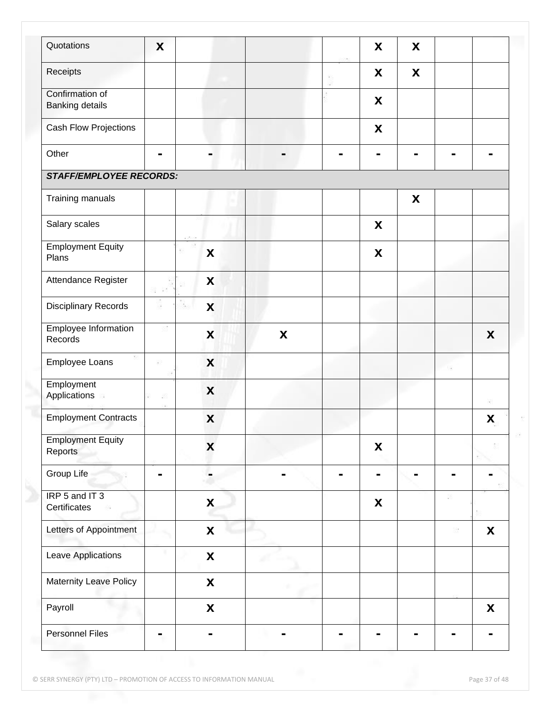| Quotations                                | X              |                           |   | X                         | X |   |   |
|-------------------------------------------|----------------|---------------------------|---|---------------------------|---|---|---|
| Receipts                                  |                |                           |   | X                         | X |   |   |
| Confirmation of<br><b>Banking details</b> |                |                           |   | X                         |   |   |   |
| Cash Flow Projections                     |                |                           |   | X                         |   |   |   |
| Other                                     | $\blacksquare$ |                           |   |                           |   |   |   |
| <b>STAFF/EMPLOYEE RECORDS:</b>            |                |                           |   |                           |   |   |   |
| Training manuals                          |                |                           |   |                           | X |   |   |
| Salary scales                             |                |                           |   | X                         |   |   |   |
| <b>Employment Equity</b><br>Plans         |                | X                         |   | X                         |   |   |   |
| Attendance Register                       |                | X                         |   |                           |   |   |   |
| <b>Disciplinary Records</b>               | ×              | X<br>939                  |   |                           |   |   |   |
| Employee Information<br>Records           |                | X                         | X |                           |   |   | X |
| Employee Loans                            | ※3             | X                         |   |                           |   |   |   |
| Employment<br>Applications                | 68             | X                         |   |                           |   |   | ĸ |
| <b>Employment Contracts</b>               |                | X                         |   |                           |   |   | X |
| <b>Employment Equity</b><br>Reports       |                | X                         |   | X                         |   |   |   |
| Group Life                                | $\blacksquare$ |                           |   | -                         |   | ۰ |   |
| IRP 5 and IT 3<br>Certificates            |                | $\boldsymbol{\mathsf{X}}$ |   | $\boldsymbol{\mathsf{X}}$ |   |   |   |
| Letters of Appointment                    |                | $\boldsymbol{\mathsf{X}}$ |   |                           |   |   | X |
| Leave Applications                        |                | $\pmb{\mathsf{X}}$        |   |                           |   |   |   |
| Maternity Leave Policy                    |                | $\boldsymbol{\mathsf{X}}$ |   |                           |   |   |   |
| Payroll                                   |                | $\boldsymbol{\mathsf{X}}$ |   |                           |   |   | X |
| <b>Personnel Files</b>                    | ۰              |                           |   |                           |   |   |   |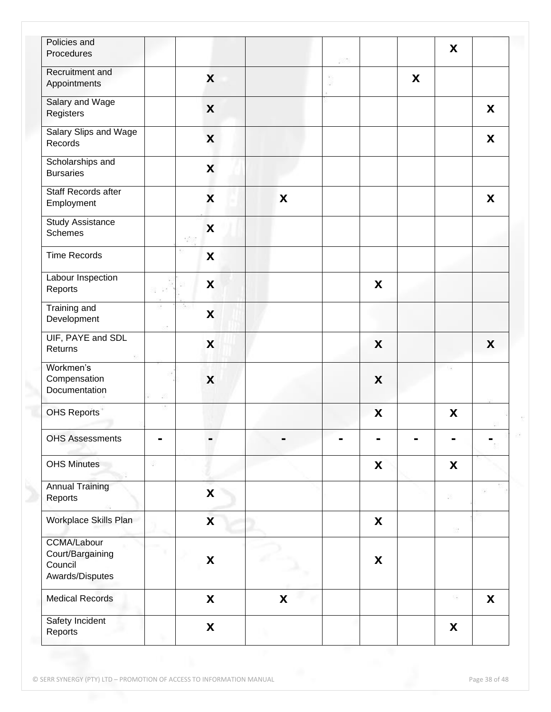| Policies and<br>Procedures                                           |                           |                           |   |   | X   |   |
|----------------------------------------------------------------------|---------------------------|---------------------------|---|---|-----|---|
| Recruitment and<br>Appointments                                      | X                         |                           |   | X |     |   |
| Salary and Wage<br>Registers                                         | X                         |                           |   |   |     | X |
| Salary Slips and Wage<br>Records                                     | X                         |                           |   |   |     | X |
| Scholarships and<br><b>Bursaries</b>                                 | X                         |                           |   |   |     |   |
| Staff Records after<br>Employment                                    | $\boldsymbol{\mathsf{x}}$ | X                         |   |   |     | X |
| <b>Study Assistance</b><br><b>Schemes</b>                            | X                         |                           |   |   |     |   |
| <b>Time Records</b>                                                  | X                         |                           |   |   |     |   |
| Labour Inspection<br>Reports<br>58 63                                | X<br>전                    |                           | X |   |     |   |
| <b>Training and</b><br>Development                                   | X                         |                           |   |   |     |   |
| UIF, PAYE and SDL<br>Returns                                         | X                         |                           | X |   |     | X |
| Workmen's<br>Compensation<br>Documentation                           | $\boldsymbol{\mathsf{X}}$ |                           | X |   | 33  |   |
| <b>OHS Reports</b>                                                   |                           |                           | X |   | X   |   |
| <b>OHS Assessments</b>                                               |                           |                           |   |   |     |   |
| <b>OHS Minutes</b><br>8                                              |                           |                           | X |   | X   |   |
| <b>Annual Training</b><br>Reports                                    | X                         |                           |   |   | œ   |   |
| Workplace Skills Plan                                                | $\overline{\mathbf{X}}$   |                           | X |   | 89  |   |
| <b>CCMA/Labour</b><br>Court/Bargaining<br>Council<br>Awards/Disputes | X                         |                           | X |   |     |   |
| <b>Medical Records</b>                                               | X                         | $\boldsymbol{\mathsf{X}}$ |   |   | -53 | X |
| Safety Incident<br>Reports                                           | $\boldsymbol{\mathsf{X}}$ |                           |   |   | X   |   |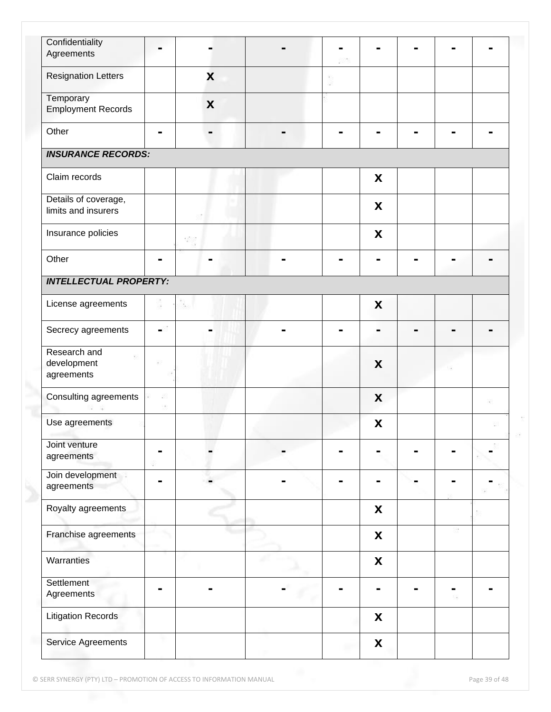| Confidentiality<br>Agreements               | Ξ.             |     |   |   |  |   |
|---------------------------------------------|----------------|-----|---|---|--|---|
|                                             |                |     |   |   |  |   |
| <b>Resignation Letters</b>                  |                | X   |   |   |  |   |
| Temporary<br><b>Employment Records</b>      |                | X   |   |   |  |   |
| Other                                       | $\blacksquare$ |     | - |   |  |   |
| <b>INSURANCE RECORDS:</b>                   |                |     |   |   |  |   |
| Claim records                               |                |     |   | X |  |   |
| Details of coverage,<br>limits and insurers |                |     |   | X |  |   |
| Insurance policies                          |                | 380 |   | X |  |   |
| Other                                       | $\blacksquare$ |     |   |   |  |   |
| <b>INTELLECTUAL PROPERTY:</b>               |                |     |   |   |  |   |
| License agreements                          |                |     |   | X |  |   |
| Secrecy agreements                          | ۰,             |     |   |   |  |   |
| Research and<br>development<br>agreements   |                |     |   | X |  |   |
| Consulting agreements                       |                |     |   | X |  | ĸ |
| Use agreements                              |                |     |   | X |  |   |
| Joint venture<br>agreements                 |                |     |   |   |  |   |
| Join development<br>agreements              |                |     |   |   |  |   |
| Royalty agreements                          |                |     |   | X |  |   |
| Franchise agreements                        |                |     |   | X |  |   |
| Warranties                                  |                |     |   | X |  |   |
| Settlement<br>Agreements                    | -              |     |   |   |  |   |
| <b>Litigation Records</b>                   |                |     |   | X |  |   |
| Service Agreements                          |                |     | m | X |  |   |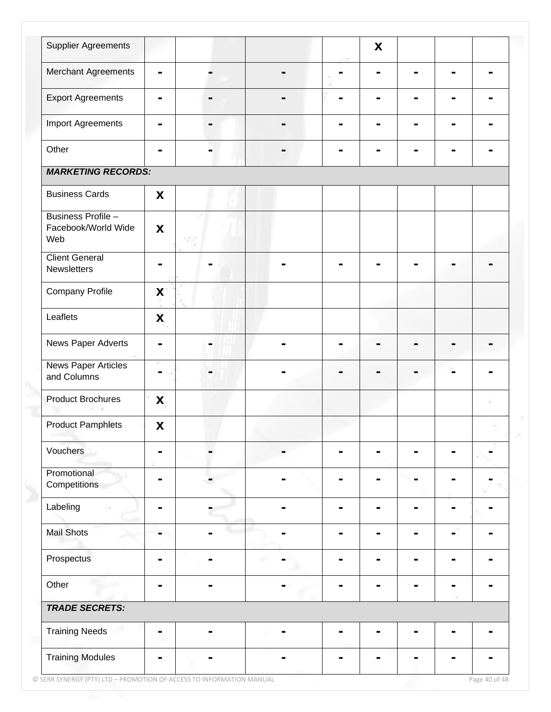| <b>Supplier Agreements</b>                       |                |     |   | X |   |   |   |
|--------------------------------------------------|----------------|-----|---|---|---|---|---|
| Merchant Agreements                              | $\blacksquare$ |     |   |   | н | - |   |
| <b>Export Agreements</b>                         | ۰              |     | - |   | н | - |   |
| <b>Import Agreements</b>                         | $\blacksquare$ |     |   |   |   |   |   |
| Other                                            |                |     |   |   |   |   |   |
| <b>MARKETING RECORDS:</b>                        |                |     |   |   |   |   |   |
| <b>Business Cards</b>                            | X              |     |   |   |   |   |   |
| Business Profile -<br>Facebook/World Wide<br>Web | X              | 322 |   |   |   |   |   |
| <b>Client General</b><br>Newsletters             |                |     |   |   |   |   |   |
| <b>Company Profile</b>                           | X              |     |   |   |   |   |   |
| Leaflets                                         | X              |     |   |   |   |   |   |
| News Paper Adverts                               |                |     |   |   |   |   |   |
| <b>News Paper Articles</b><br>and Columns        |                |     |   |   |   |   |   |
| <b>Product Brochures</b>                         | X              |     |   |   |   |   | ĸ |
| <b>Product Pamphlets</b>                         | X              |     |   |   |   |   |   |
| Vouchers                                         |                |     |   |   |   |   |   |
| Promotional<br>Competitions                      |                |     |   |   |   |   |   |
| Labeling                                         | $\blacksquare$ |     | - |   |   |   |   |
| <b>Mail Shots</b>                                |                |     |   |   |   |   |   |
| Prospectus                                       |                |     |   |   |   |   |   |
| Other                                            | ۰              |     |   |   |   |   |   |
| <b>TRADE SECRETS:</b>                            |                |     |   |   |   |   |   |
| <b>Training Needs</b>                            | ۰              |     |   |   |   |   |   |
| <b>Training Modules</b>                          | ь              |     |   |   |   |   |   |

© SERR SYNERGY (PTY) LTD – PROMOTION OF ACCESS TO INFORMATION MANUAL Page 40 of 48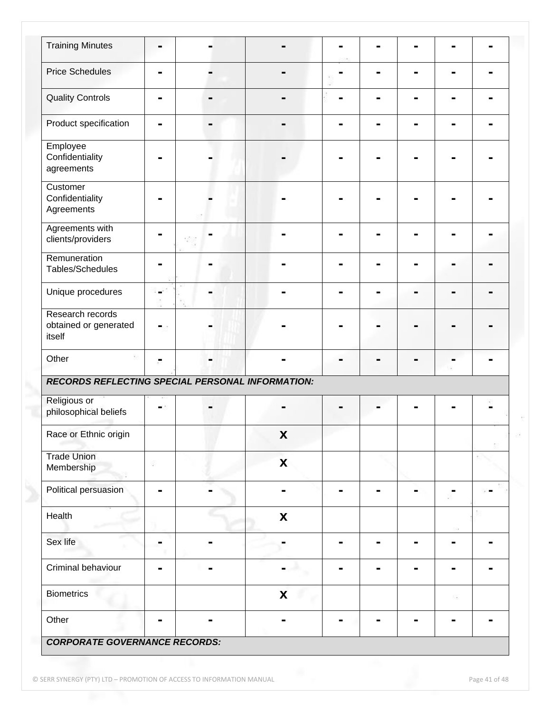| <b>Training Minutes</b>                             |                |                           |   |  | н              |   |
|-----------------------------------------------------|----------------|---------------------------|---|--|----------------|---|
| <b>Price Schedules</b>                              | $\blacksquare$ |                           |   |  |                |   |
| <b>Quality Controls</b>                             | ۰              |                           |   |  |                |   |
| Product specification                               |                |                           |   |  |                |   |
| Employee<br>Confidentiality<br>agreements           |                |                           |   |  |                |   |
| Customer<br>Confidentiality<br>Agreements           |                |                           |   |  |                |   |
| Agreements with<br>clients/providers                |                |                           |   |  |                |   |
| Remuneration<br>Tables/Schedules                    |                |                           |   |  |                |   |
| Unique procedures                                   |                |                           |   |  |                |   |
| Research records<br>obtained or generated<br>itself |                |                           |   |  |                |   |
| Other                                               | $\blacksquare$ |                           |   |  | $\blacksquare$ |   |
| RECORDS REFLECTING SPECIAL PERSONAL INFORMATION:    |                |                           |   |  |                |   |
| Religious or<br>philosophical beliefs               |                |                           |   |  |                |   |
| Race or Ethnic origin                               |                | $\pmb{\mathsf{X}}$        |   |  |                |   |
| <b>Trade Union</b><br>Membership                    | 89             | $\pmb{\mathsf{X}}$        |   |  |                |   |
| Political persuasion                                |                |                           |   |  |                |   |
| Health                                              |                | $\pmb{\mathsf{X}}$        |   |  |                |   |
| Sex life                                            | ۰              |                           | ۰ |  | ۰              | - |
| Criminal behaviour                                  | ۰              |                           |   |  | ۰              |   |
| <b>Biometrics</b>                                   |                | $\boldsymbol{\mathsf{X}}$ |   |  | -53            |   |
| Other                                               |                |                           |   |  |                |   |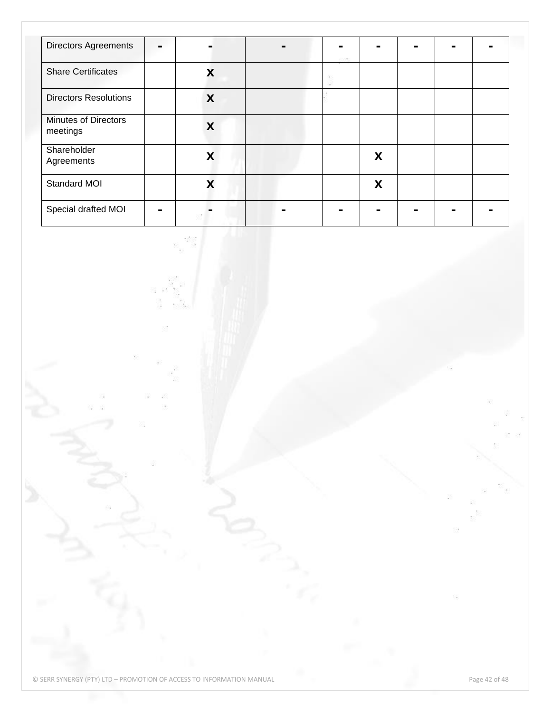| <b>Directors Agreements</b>             |   |  |   |  |  |
|-----------------------------------------|---|--|---|--|--|
| <b>Share Certificates</b>               | X |  |   |  |  |
| <b>Directors Resolutions</b>            | X |  |   |  |  |
| <b>Minutes of Directors</b><br>meetings | X |  |   |  |  |
| Shareholder<br>Agreements               | X |  | X |  |  |
| Standard MOI                            | X |  | X |  |  |
| Special drafted MOI                     |   |  |   |  |  |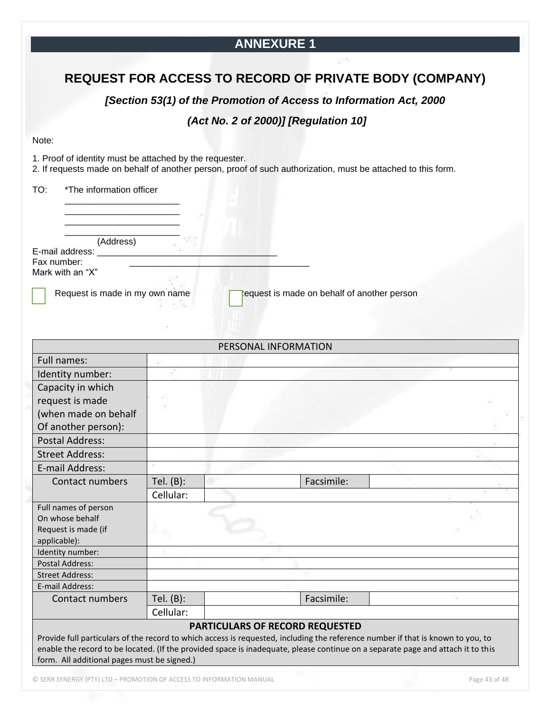## **ANNEXURE 1**

## **REQUEST FOR ACCESS TO RECORD OF PRIVATE BODY (COMPANY)**

*[Section 53(1) of the Promotion of Access to Information Act, 2000*

## *(Act No. 2 of 2000)] [Regulation 10]*

#### Note:

1. Proof of identity must be attached by the requester.

2. If requests made on behalf of another person, proof of such authorization, must be attached to this form.

TO: \*The information officer

| (Address) |  |
|-----------|--|

\_\_\_\_\_\_\_\_\_\_\_\_\_\_\_\_\_\_\_\_\_\_\_

E-mail address:

Fax number:

Mark with an "X"

Request is made in my own name **Request** is made on behalf of another person

|                                                                                                                                                                                                                                                                                                                   |              | PERSONAL INFORMATION                   |            |  |
|-------------------------------------------------------------------------------------------------------------------------------------------------------------------------------------------------------------------------------------------------------------------------------------------------------------------|--------------|----------------------------------------|------------|--|
| Full names:                                                                                                                                                                                                                                                                                                       |              |                                        |            |  |
| Identity number:                                                                                                                                                                                                                                                                                                  |              |                                        |            |  |
| Capacity in which                                                                                                                                                                                                                                                                                                 |              |                                        |            |  |
| request is made                                                                                                                                                                                                                                                                                                   | æ            |                                        |            |  |
| (when made on behalf                                                                                                                                                                                                                                                                                              |              |                                        |            |  |
| Of another person):                                                                                                                                                                                                                                                                                               |              |                                        |            |  |
| <b>Postal Address:</b>                                                                                                                                                                                                                                                                                            |              |                                        |            |  |
| <b>Street Address:</b>                                                                                                                                                                                                                                                                                            |              |                                        |            |  |
| E-mail Address:                                                                                                                                                                                                                                                                                                   |              |                                        |            |  |
| Contact numbers                                                                                                                                                                                                                                                                                                   | Tel. $(B)$ : |                                        | Facsimile: |  |
|                                                                                                                                                                                                                                                                                                                   | Cellular:    |                                        |            |  |
| Full names of person                                                                                                                                                                                                                                                                                              |              |                                        |            |  |
| On whose behalf                                                                                                                                                                                                                                                                                                   |              |                                        |            |  |
| Request is made (if                                                                                                                                                                                                                                                                                               |              |                                        |            |  |
| applicable):                                                                                                                                                                                                                                                                                                      |              |                                        |            |  |
| Identity number:                                                                                                                                                                                                                                                                                                  |              |                                        |            |  |
| <b>Postal Address:</b>                                                                                                                                                                                                                                                                                            |              |                                        |            |  |
| <b>Street Address:</b>                                                                                                                                                                                                                                                                                            |              |                                        |            |  |
| E-mail Address:                                                                                                                                                                                                                                                                                                   |              |                                        |            |  |
| Contact numbers                                                                                                                                                                                                                                                                                                   | Tel. $(B)$ : |                                        | Facsimile: |  |
|                                                                                                                                                                                                                                                                                                                   | Cellular:    |                                        |            |  |
|                                                                                                                                                                                                                                                                                                                   |              | <b>PARTICULARS OF RECORD REQUESTED</b> |            |  |
| Provide full particulars of the record to which access is requested, including the reference number if that is known to you, to<br>enable the record to be located. (If the provided space is inadequate, please continue on a separate page and attach it to this<br>form. All additional pages must be signed.) |              |                                        |            |  |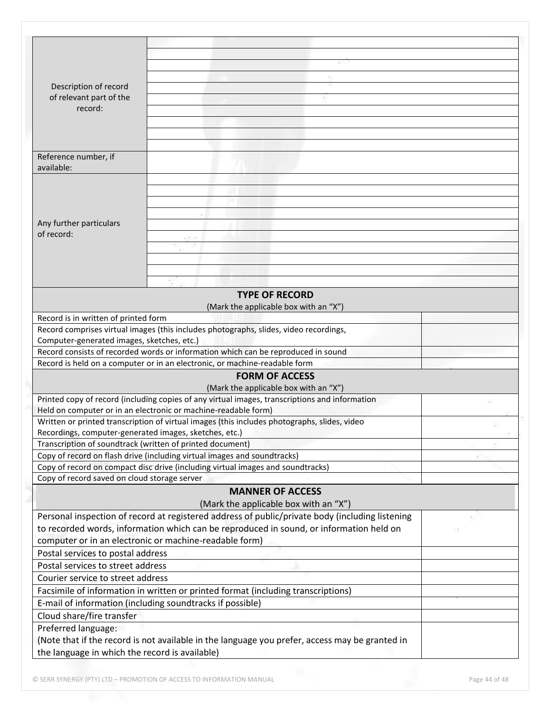| Description of record                                     |                                                                                                 |  |
|-----------------------------------------------------------|-------------------------------------------------------------------------------------------------|--|
| of relevant part of the                                   |                                                                                                 |  |
| record:                                                   |                                                                                                 |  |
|                                                           |                                                                                                 |  |
|                                                           |                                                                                                 |  |
|                                                           |                                                                                                 |  |
| Reference number, if                                      |                                                                                                 |  |
| available:                                                |                                                                                                 |  |
|                                                           |                                                                                                 |  |
|                                                           |                                                                                                 |  |
|                                                           |                                                                                                 |  |
|                                                           |                                                                                                 |  |
| Any further particulars                                   |                                                                                                 |  |
| of record:                                                |                                                                                                 |  |
|                                                           |                                                                                                 |  |
|                                                           |                                                                                                 |  |
|                                                           |                                                                                                 |  |
|                                                           |                                                                                                 |  |
|                                                           | <b>TYPE OF RECORD</b>                                                                           |  |
|                                                           | (Mark the applicable box with an "X")                                                           |  |
| Record is in written of printed form                      |                                                                                                 |  |
|                                                           | Record comprises virtual images (this includes photographs, slides, video recordings,           |  |
| Computer-generated images, sketches, etc.)                |                                                                                                 |  |
|                                                           | Record consists of recorded words or information which can be reproduced in sound               |  |
|                                                           | Record is held on a computer or in an electronic, or machine-readable form                      |  |
|                                                           | <b>FORM OF ACCESS</b>                                                                           |  |
|                                                           | (Mark the applicable box with an "X")                                                           |  |
|                                                           | Printed copy of record (including copies of any virtual images, transcriptions and information  |  |
|                                                           | Held on computer or in an electronic or machine-readable form)                                  |  |
|                                                           | Written or printed transcription of virtual images (this includes photographs, slides, video    |  |
| Recordings, computer-generated images, sketches, etc.)    |                                                                                                 |  |
| Transcription of soundtrack (written of printed document) |                                                                                                 |  |
|                                                           | Copy of record on flash drive (including virtual images and soundtracks)                        |  |
|                                                           | Copy of record on compact disc drive (including virtual images and soundtracks)                 |  |
| Copy of record saved on cloud storage server              |                                                                                                 |  |
|                                                           | <b>MANNER OF ACCESS</b>                                                                         |  |
|                                                           | (Mark the applicable box with an "X")                                                           |  |
|                                                           | Personal inspection of record at registered address of public/private body (including listening |  |
|                                                           | to recorded words, information which can be reproduced in sound, or information held on         |  |
|                                                           |                                                                                                 |  |
|                                                           | computer or in an electronic or machine-readable form)                                          |  |
| Postal services to postal address                         |                                                                                                 |  |
| Postal services to street address                         |                                                                                                 |  |
| Courier service to street address                         |                                                                                                 |  |
|                                                           | Facsimile of information in written or printed format (including transcriptions)                |  |
|                                                           | E-mail of information (including soundtracks if possible)                                       |  |
| Cloud share/fire transfer                                 |                                                                                                 |  |
| Preferred language:                                       |                                                                                                 |  |
|                                                           | (Note that if the record is not available in the language you prefer, access may be granted in  |  |
| the language in which the record is available)            |                                                                                                 |  |
|                                                           |                                                                                                 |  |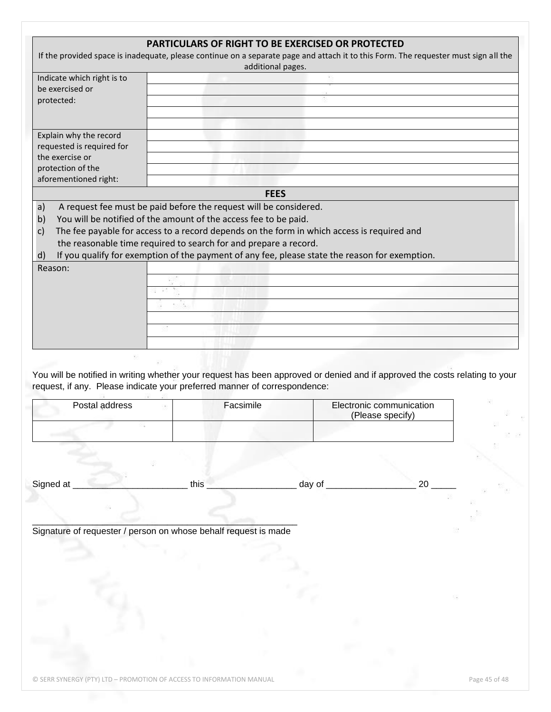| If the provided space is inadequate, please continue on a separate page and attach it to this Form. The requester must sign all the<br>Indicate which right is to<br>be exercised or<br>protected:<br>Explain why the record<br>requested is required for<br>the exercise or<br>protection of the<br>aforementioned right:<br>A request fee must be paid before the request will be considered.<br>a)<br>You will be notified of the amount of the access fee to be paid.<br>b)<br>The fee payable for access to a record depends on the form in which access is required and<br>$\mathsf{C}$<br>the reasonable time required to search for and prepare a record.<br>If you qualify for exemption of the payment of any fee, please state the reason for exemption.<br>d)<br>Reason: | additional pages.<br><b>FEES</b> |        |                                              |  |
|--------------------------------------------------------------------------------------------------------------------------------------------------------------------------------------------------------------------------------------------------------------------------------------------------------------------------------------------------------------------------------------------------------------------------------------------------------------------------------------------------------------------------------------------------------------------------------------------------------------------------------------------------------------------------------------------------------------------------------------------------------------------------------------|----------------------------------|--------|----------------------------------------------|--|
|                                                                                                                                                                                                                                                                                                                                                                                                                                                                                                                                                                                                                                                                                                                                                                                      |                                  |        |                                              |  |
|                                                                                                                                                                                                                                                                                                                                                                                                                                                                                                                                                                                                                                                                                                                                                                                      |                                  |        |                                              |  |
|                                                                                                                                                                                                                                                                                                                                                                                                                                                                                                                                                                                                                                                                                                                                                                                      |                                  |        |                                              |  |
|                                                                                                                                                                                                                                                                                                                                                                                                                                                                                                                                                                                                                                                                                                                                                                                      |                                  |        |                                              |  |
|                                                                                                                                                                                                                                                                                                                                                                                                                                                                                                                                                                                                                                                                                                                                                                                      |                                  |        |                                              |  |
|                                                                                                                                                                                                                                                                                                                                                                                                                                                                                                                                                                                                                                                                                                                                                                                      |                                  |        |                                              |  |
|                                                                                                                                                                                                                                                                                                                                                                                                                                                                                                                                                                                                                                                                                                                                                                                      |                                  |        |                                              |  |
|                                                                                                                                                                                                                                                                                                                                                                                                                                                                                                                                                                                                                                                                                                                                                                                      |                                  |        |                                              |  |
|                                                                                                                                                                                                                                                                                                                                                                                                                                                                                                                                                                                                                                                                                                                                                                                      |                                  |        |                                              |  |
|                                                                                                                                                                                                                                                                                                                                                                                                                                                                                                                                                                                                                                                                                                                                                                                      |                                  |        |                                              |  |
|                                                                                                                                                                                                                                                                                                                                                                                                                                                                                                                                                                                                                                                                                                                                                                                      |                                  |        |                                              |  |
|                                                                                                                                                                                                                                                                                                                                                                                                                                                                                                                                                                                                                                                                                                                                                                                      |                                  |        |                                              |  |
|                                                                                                                                                                                                                                                                                                                                                                                                                                                                                                                                                                                                                                                                                                                                                                                      |                                  |        |                                              |  |
|                                                                                                                                                                                                                                                                                                                                                                                                                                                                                                                                                                                                                                                                                                                                                                                      |                                  |        |                                              |  |
|                                                                                                                                                                                                                                                                                                                                                                                                                                                                                                                                                                                                                                                                                                                                                                                      |                                  |        |                                              |  |
|                                                                                                                                                                                                                                                                                                                                                                                                                                                                                                                                                                                                                                                                                                                                                                                      |                                  |        |                                              |  |
|                                                                                                                                                                                                                                                                                                                                                                                                                                                                                                                                                                                                                                                                                                                                                                                      |                                  |        |                                              |  |
|                                                                                                                                                                                                                                                                                                                                                                                                                                                                                                                                                                                                                                                                                                                                                                                      |                                  |        |                                              |  |
|                                                                                                                                                                                                                                                                                                                                                                                                                                                                                                                                                                                                                                                                                                                                                                                      |                                  |        |                                              |  |
|                                                                                                                                                                                                                                                                                                                                                                                                                                                                                                                                                                                                                                                                                                                                                                                      |                                  |        |                                              |  |
|                                                                                                                                                                                                                                                                                                                                                                                                                                                                                                                                                                                                                                                                                                                                                                                      |                                  |        |                                              |  |
|                                                                                                                                                                                                                                                                                                                                                                                                                                                                                                                                                                                                                                                                                                                                                                                      |                                  |        |                                              |  |
| You will be notified in writing whether your request has been approved or denied and if approved the costs relating to your<br>request, if any. Please indicate your preferred manner of correspondence:<br>Postal address                                                                                                                                                                                                                                                                                                                                                                                                                                                                                                                                                           | Facsimile                        |        | Electronic communication<br>(Please specify) |  |
|                                                                                                                                                                                                                                                                                                                                                                                                                                                                                                                                                                                                                                                                                                                                                                                      |                                  |        |                                              |  |
|                                                                                                                                                                                                                                                                                                                                                                                                                                                                                                                                                                                                                                                                                                                                                                                      |                                  |        |                                              |  |
|                                                                                                                                                                                                                                                                                                                                                                                                                                                                                                                                                                                                                                                                                                                                                                                      |                                  |        |                                              |  |
|                                                                                                                                                                                                                                                                                                                                                                                                                                                                                                                                                                                                                                                                                                                                                                                      |                                  |        |                                              |  |
| Signed at<br>this                                                                                                                                                                                                                                                                                                                                                                                                                                                                                                                                                                                                                                                                                                                                                                    |                                  | day of | 20                                           |  |
|                                                                                                                                                                                                                                                                                                                                                                                                                                                                                                                                                                                                                                                                                                                                                                                      |                                  |        |                                              |  |
|                                                                                                                                                                                                                                                                                                                                                                                                                                                                                                                                                                                                                                                                                                                                                                                      |                                  |        |                                              |  |
|                                                                                                                                                                                                                                                                                                                                                                                                                                                                                                                                                                                                                                                                                                                                                                                      |                                  |        |                                              |  |
| Signature of requester / person on whose behalf request is made                                                                                                                                                                                                                                                                                                                                                                                                                                                                                                                                                                                                                                                                                                                      |                                  |        |                                              |  |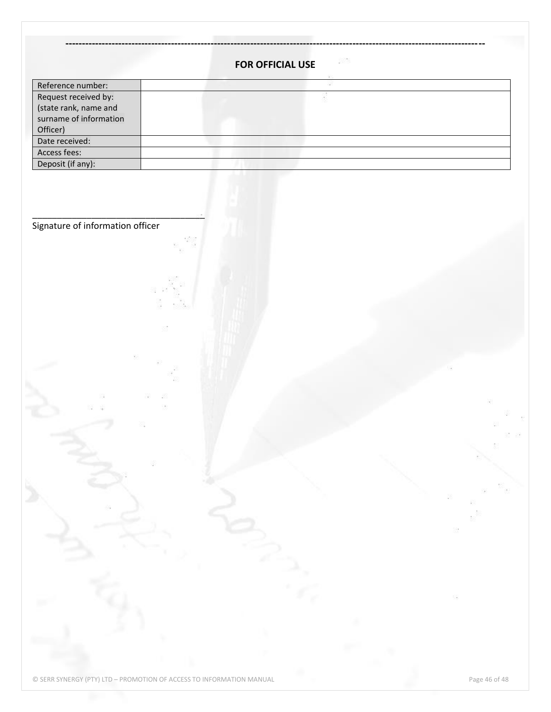|                                  | 5376<br>FOR OFFICIAL USE |   |
|----------------------------------|--------------------------|---|
| Reference number:                |                          |   |
| Request received by:             |                          |   |
| (state rank, name and            |                          |   |
| surname of information           |                          |   |
| Officer)                         |                          |   |
| Date received:<br>Access fees:   |                          |   |
| Deposit (if any):                |                          |   |
|                                  |                          |   |
|                                  |                          |   |
|                                  |                          |   |
| Signature of information officer |                          |   |
|                                  |                          |   |
|                                  |                          |   |
|                                  |                          |   |
|                                  |                          |   |
|                                  |                          |   |
|                                  |                          |   |
|                                  |                          |   |
|                                  |                          |   |
|                                  |                          |   |
|                                  |                          |   |
|                                  |                          |   |
|                                  |                          |   |
|                                  |                          |   |
|                                  |                          |   |
|                                  |                          |   |
|                                  |                          |   |
|                                  |                          |   |
|                                  |                          |   |
|                                  |                          |   |
|                                  |                          |   |
|                                  |                          |   |
|                                  |                          |   |
|                                  |                          |   |
|                                  |                          |   |
|                                  |                          |   |
|                                  |                          |   |
|                                  |                          |   |
|                                  |                          |   |
|                                  |                          | 掇 |
|                                  |                          |   |
|                                  |                          |   |
|                                  |                          |   |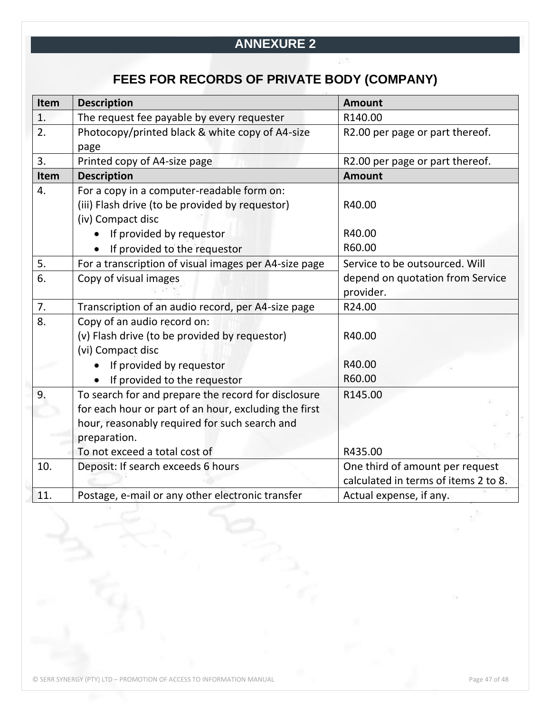## **ANNEXURE 2**

# **FEES FOR RECORDS OF PRIVATE BODY (COMPANY)**

| Item             | <b>Description</b>                                    | <b>Amount</b>                        |
|------------------|-------------------------------------------------------|--------------------------------------|
| 1.               | The request fee payable by every requester            | R140.00                              |
| 2.               | Photocopy/printed black & white copy of A4-size       | R2.00 per page or part thereof.      |
|                  | page                                                  |                                      |
| 3.               | Printed copy of A4-size page                          | R2.00 per page or part thereof.      |
| Item             | <b>Description</b>                                    | <b>Amount</b>                        |
| $\overline{4}$ . | For a copy in a computer-readable form on:            |                                      |
|                  | (iii) Flash drive (to be provided by requestor)       | R40.00                               |
|                  | (iv) Compact disc                                     |                                      |
|                  | If provided by requestor                              | R40.00                               |
|                  | If provided to the requestor                          | R60.00                               |
| 5.               | For a transcription of visual images per A4-size page | Service to be outsourced. Will       |
| 6.               | Copy of visual images                                 | depend on quotation from Service     |
|                  |                                                       | provider.                            |
| 7.               | Transcription of an audio record, per A4-size page    | R24.00                               |
| 8.               | Copy of an audio record on:                           |                                      |
|                  | (v) Flash drive (to be provided by requestor)         | R40.00                               |
|                  | (vi) Compact disc                                     |                                      |
|                  | If provided by requestor                              | R40.00                               |
|                  | If provided to the requestor                          | R60.00                               |
| 9.               | To search for and prepare the record for disclosure   | R145.00                              |
|                  | for each hour or part of an hour, excluding the first |                                      |
|                  | hour, reasonably required for such search and         |                                      |
|                  | preparation.                                          |                                      |
|                  | To not exceed a total cost of                         | R435.00                              |
| 10.              | Deposit: If search exceeds 6 hours                    | One third of amount per request      |
|                  |                                                       | calculated in terms of items 2 to 8. |
| 11.              | Postage, e-mail or any other electronic transfer      | Actual expense, if any.              |